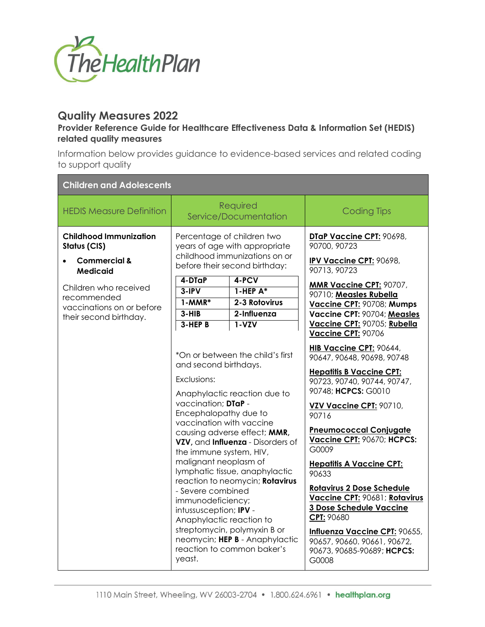

## **Quality Measures 2022**

## **Provider Reference Guide for Healthcare Effectiveness Data & Information Set (HEDIS) related quality measures**

Information below provides guidance to evidence-based services and related coding to support quality

| <b>Children and Adolescents</b>                                                             |                                                                                                                                                                                                                                                                                |                                                                                                                                                                                                                                                                                                            |                                                                                                                                                                                                                                                                                                                                                                                                                                                                                                                             |
|---------------------------------------------------------------------------------------------|--------------------------------------------------------------------------------------------------------------------------------------------------------------------------------------------------------------------------------------------------------------------------------|------------------------------------------------------------------------------------------------------------------------------------------------------------------------------------------------------------------------------------------------------------------------------------------------------------|-----------------------------------------------------------------------------------------------------------------------------------------------------------------------------------------------------------------------------------------------------------------------------------------------------------------------------------------------------------------------------------------------------------------------------------------------------------------------------------------------------------------------------|
| <b>HEDIS Measure Definition</b>                                                             |                                                                                                                                                                                                                                                                                | Required<br>Service/Documentation                                                                                                                                                                                                                                                                          | <b>Coding Tips</b>                                                                                                                                                                                                                                                                                                                                                                                                                                                                                                          |
| <b>Childhood Immunization</b><br>Status (CIS)<br><b>Commercial &amp;</b><br>Medicaid        | Percentage of children two<br>years of age with appropriate<br>childhood immunizations on or<br>before their second birthday:                                                                                                                                                  |                                                                                                                                                                                                                                                                                                            | DTaP Vaccine CPT: 90698,<br>90700, 90723<br><b>IPV Vaccine CPT: 90698,</b><br>90713, 90723                                                                                                                                                                                                                                                                                                                                                                                                                                  |
| Children who received<br>recommended<br>vaccinations on or before<br>their second birthday. | 4-DTaP<br>$3-IPV$<br>$1-MMR*$<br>$3-HIB$<br>$3 - HEP$ B                                                                                                                                                                                                                        | 4-PCV<br>$1$ -HEP $A^*$<br>2-3 Rotovirus<br>2-Influenza<br>$1 - VZV$                                                                                                                                                                                                                                       | <b>MMR Vaccine CPT: 90707,</b><br>90710; Measles Rubella<br>Vaccine CPT: 90708; Mumps<br>Vaccine CPT: 90704; Measles<br>Vaccine CPT: 90705; Rubella<br>Vaccine CPT: 90706                                                                                                                                                                                                                                                                                                                                                   |
|                                                                                             | and second birthdays.<br>Exclusions:<br>vaccination; DTaP -<br>Encephalopathy due to<br>vaccination with vaccine<br>the immune system, HIV,<br>malignant neoplasm of<br>- Severe combined<br>immunodeficiency;<br>intussusception; IPV -<br>Anaphylactic reaction to<br>yeast. | *On or between the child's first<br>Anaphylactic reaction due to<br>causing adverse effect; MMR,<br>VZV, and Influenza - Disorders of<br>lymphatic tissue, anaphylactic<br>reaction to neomycin; Rotavirus<br>streptomycin, polymyxin B or<br>neomycin; HEP B - Anaphylactic<br>reaction to common baker's | HIB Vaccine CPT: 90644,<br>90647, 90648, 90698, 90748<br><b>Hepatitis B Vaccine CPT:</b><br>90723, 90740, 90744, 90747,<br>90748; HCPCS: G0010<br>VZV Vaccine CPT: 90710,<br>90716<br><b>Pneumococcal Conjugate</b><br>Vaccine CPT: 90670; HCPCS:<br>G0009<br><b>Hepatitis A Vaccine CPT:</b><br>90633<br><b>Rotavirus 2 Dose Schedule</b><br>Vaccine CPT: 90681; Rotavirus<br>3 Dose Schedule Vaccine<br>CPT: 90680<br>Influenza Vaccine CPT: 90655,<br>90657, 90660, 90661, 90672,<br>90673, 90685-90689; HCPCS:<br>G0008 |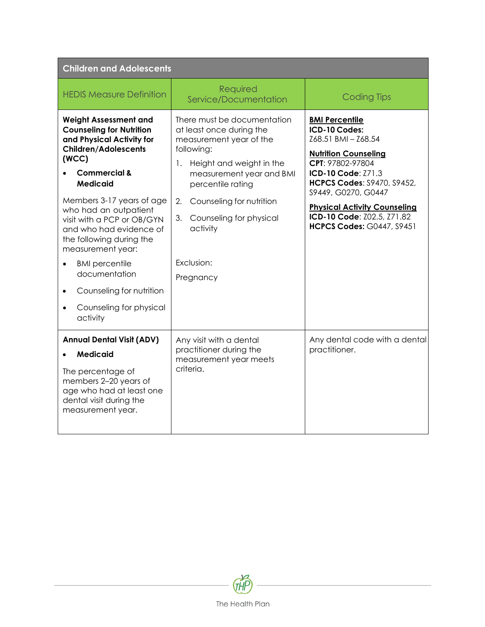| <b>Children and Adolescents</b>                                                                                                                                                                                                                                                                                                                                                                                                                                              |                                                                                                                                                                                                                                                                                               |                                                                                                                                                                                                                                                                                                             |  |
|------------------------------------------------------------------------------------------------------------------------------------------------------------------------------------------------------------------------------------------------------------------------------------------------------------------------------------------------------------------------------------------------------------------------------------------------------------------------------|-----------------------------------------------------------------------------------------------------------------------------------------------------------------------------------------------------------------------------------------------------------------------------------------------|-------------------------------------------------------------------------------------------------------------------------------------------------------------------------------------------------------------------------------------------------------------------------------------------------------------|--|
| <b>HEDIS Measure Definition</b>                                                                                                                                                                                                                                                                                                                                                                                                                                              | Required<br>Service/Documentation                                                                                                                                                                                                                                                             | <b>Coding Tips</b>                                                                                                                                                                                                                                                                                          |  |
| <b>Weight Assessment and</b><br><b>Counseling for Nutrition</b><br>and Physical Activity for<br><b>Children/Adolescents</b><br>(WCC)<br><b>Commercial &amp;</b><br><b>Medicaid</b><br>Members 3-17 years of age<br>who had an outpatient<br>visit with a PCP or OB/GYN<br>and who had evidence of<br>the following during the<br>measurement year:<br><b>BMI</b> percentile<br>documentation<br>Counseling for nutrition<br>$\bullet$<br>Counseling for physical<br>activity | There must be documentation<br>at least once during the<br>measurement year of the<br>following:<br>1.<br>Height and weight in the<br>measurement year and BMI<br>percentile rating<br>2.<br>Counseling for nutrition<br>3.<br>Counseling for physical<br>activity<br>Exclusion:<br>Pregnancy | <b>BMI Percentile</b><br>ICD-10 Codes:<br>Z68.51 BMI - Z68.54<br><b>Nutrition Counseling</b><br>CPT: 97802-97804<br>ICD-10 Code: Z71.3<br><b>HCPCS Codes: S9470, S9452,</b><br>S9449, G0270, G0447<br><b>Physical Activity Counseling</b><br>ICD-10 Code: Z02.5, Z71.82<br><b>HCPCS Codes: G0447, S9451</b> |  |
| <b>Annual Dental Visit (ADV)</b><br><b>Medicaid</b><br>The percentage of<br>members 2-20 years of<br>age who had at least one<br>dental visit during the<br>measurement year.                                                                                                                                                                                                                                                                                                | Any visit with a dental<br>practitioner during the<br>measurement year meets<br>criteria.                                                                                                                                                                                                     | Any dental code with a dental<br>practitioner.                                                                                                                                                                                                                                                              |  |

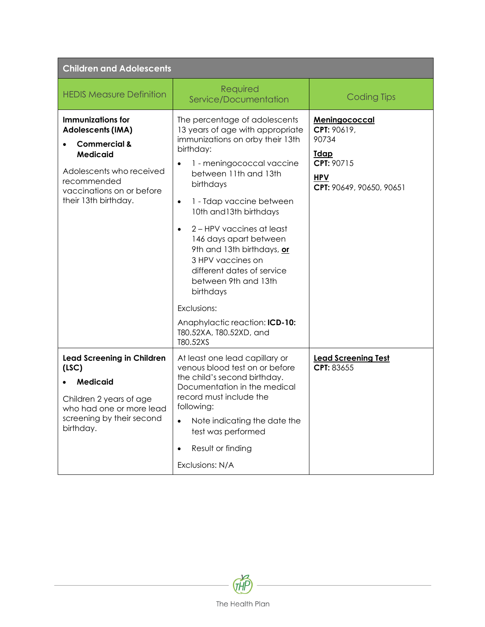| <b>Children and Adolescents</b>                                                                                                                                                                    |                                                                                                                                                                                                                                                                                                                                                                                                                                                                                                                                |                                                                                                              |  |
|----------------------------------------------------------------------------------------------------------------------------------------------------------------------------------------------------|--------------------------------------------------------------------------------------------------------------------------------------------------------------------------------------------------------------------------------------------------------------------------------------------------------------------------------------------------------------------------------------------------------------------------------------------------------------------------------------------------------------------------------|--------------------------------------------------------------------------------------------------------------|--|
| <b>HEDIS Measure Definition</b>                                                                                                                                                                    | Required<br>Service/Documentation                                                                                                                                                                                                                                                                                                                                                                                                                                                                                              | <b>Coding Tips</b>                                                                                           |  |
| <b>Immunizations for</b><br><b>Adolescents (IMA)</b><br><b>Commercial &amp;</b><br><b>Medicaid</b><br>Adolescents who received<br>recommended<br>vaccinations on or before<br>their 13th birthday. | The percentage of adolescents<br>13 years of age with appropriate<br>immunizations on orby their 13th<br>birthday:<br>1 - meningococcal vaccine<br>between 11th and 13th<br>birthdays<br>1 - Tdap vaccine between<br>$\bullet$<br>10th and 13th birthdays<br>2 – HPV vaccines at least<br>146 days apart between<br>9th and 13th birthdays, or<br>3 HPV vaccines on<br>different dates of service<br>between 9th and 13th<br>birthdays<br>Exclusions:<br>Anaphylactic reaction: ICD-10:<br>T80.52XA, T80.52XD, and<br>T80.52XS | Meningococcal<br>CPT: 90619,<br>90734<br><u>Tdap</u><br>CPT: 90715<br><b>HPV</b><br>CPT: 90649, 90650, 90651 |  |
| <b>Lead Screening in Children</b><br>(LSC)<br><b>Medicaid</b><br>Children 2 years of age<br>who had one or more lead<br>screening by their second<br>birthday.                                     | At least one lead capillary or<br>venous blood test on or before<br>the child's second birthday.<br>Documentation in the medical<br>record must include the<br>following:<br>Note indicating the date the<br>$\bullet$<br>test was performed<br>Result or finding<br>$\bullet$<br>Exclusions: N/A                                                                                                                                                                                                                              | <b>Lead Screening Test</b><br>CPT: 83655                                                                     |  |

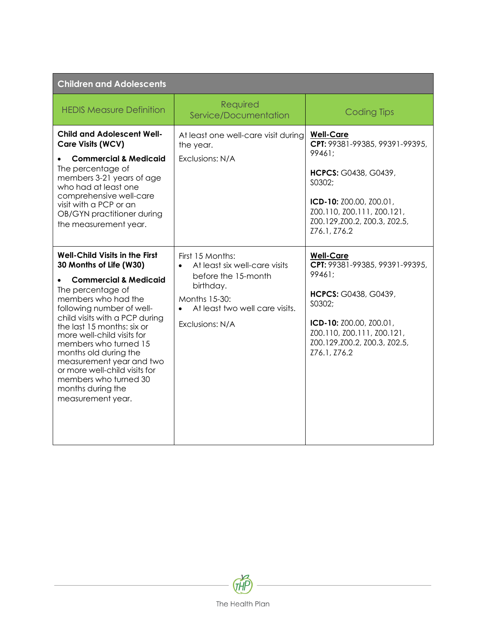| <b>Children and Adolescents</b>                                                                                                                                                                                                                                                                                                                                                                                                                               |                                                                                                                                                                          |                                                                                                                                                                                                          |  |
|---------------------------------------------------------------------------------------------------------------------------------------------------------------------------------------------------------------------------------------------------------------------------------------------------------------------------------------------------------------------------------------------------------------------------------------------------------------|--------------------------------------------------------------------------------------------------------------------------------------------------------------------------|----------------------------------------------------------------------------------------------------------------------------------------------------------------------------------------------------------|--|
| <b>HEDIS Measure Definition</b>                                                                                                                                                                                                                                                                                                                                                                                                                               | Required<br>Service/Documentation                                                                                                                                        | <b>Coding Tips</b>                                                                                                                                                                                       |  |
| <b>Child and Adolescent Well-</b><br><b>Care Visits (WCV)</b><br><b>Commercial &amp; Medicaid</b><br>The percentage of<br>members 3-21 years of age<br>who had at least one<br>comprehensive well-care<br>visit with a PCP or an<br>OB/GYN practitioner during<br>the measurement year.                                                                                                                                                                       | At least one well-care visit during<br>the year.<br>Exclusions: N/A                                                                                                      | <b>Well-Care</b><br>CPT: 99381-99385, 99391-99395,<br>99461:<br>HCPCS: G0438, G0439,<br>S0302;<br>ICD-10: Z00.00, Z00.01,<br>Z00.110, Z00.111, Z00.121,<br>Z00.129, Z00.2, Z00.3, Z02.5,<br>Z76.1, Z76.2 |  |
| <b>Well-Child Visits in the First</b><br>30 Months of Life (W30)<br><b>Commercial &amp; Medicaid</b><br>The percentage of<br>members who had the<br>following number of well-<br>child visits with a PCP during<br>the last 15 months: six or<br>more well-child visits for<br>members who turned 15<br>months old during the<br>measurement year and two<br>or more well-child visits for<br>members who turned 30<br>months during the<br>measurement year. | First 15 Months:<br>At least six well-care visits<br>$\bullet$<br>before the 15-month<br>birthday.<br>Months 15-30:<br>At least two well care visits.<br>Exclusions: N/A | <b>Well-Care</b><br>CPT: 99381-99385, 99391-99395,<br>99461:<br>HCPCS: G0438, G0439,<br>S0302;<br>ICD-10: Z00.00, Z00.01,<br>Z00.110, Z00.111, Z00.121,<br>Z00.129,Z00.2, Z00.3, Z02.5,<br>Z76.1, Z76.2  |  |

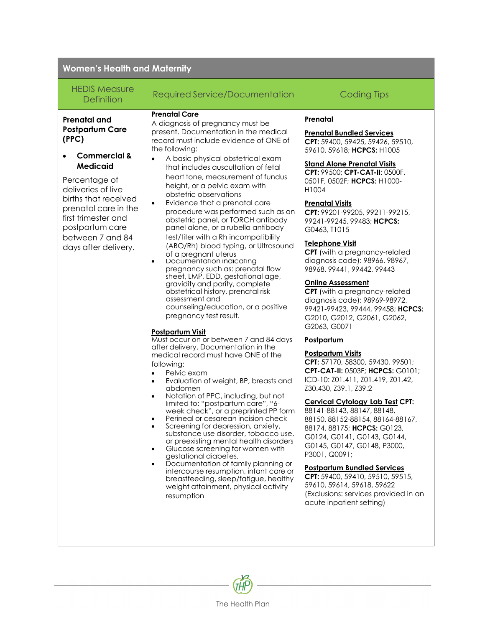| <b>Women's Health and Maternity</b>                                                                                                                                                                                                                                               |                                                                                                                                                                                                                                                                                                                                                                                                                                                                                                                                                                                                                                                                                                                                                                                                                                                                                                                                                                                                                                                                                                                                                                                                                                                                                                                                                                                                                                                                                                                                                                                                                                                                                                                                       |                                                                                                                                                                                                                                                                                                                                                                                                                                                                                                                                                                                                                                                                                                                                                                                                                                                                                                                                                                                                                                                                                                                                                                                                                                             |  |
|-----------------------------------------------------------------------------------------------------------------------------------------------------------------------------------------------------------------------------------------------------------------------------------|---------------------------------------------------------------------------------------------------------------------------------------------------------------------------------------------------------------------------------------------------------------------------------------------------------------------------------------------------------------------------------------------------------------------------------------------------------------------------------------------------------------------------------------------------------------------------------------------------------------------------------------------------------------------------------------------------------------------------------------------------------------------------------------------------------------------------------------------------------------------------------------------------------------------------------------------------------------------------------------------------------------------------------------------------------------------------------------------------------------------------------------------------------------------------------------------------------------------------------------------------------------------------------------------------------------------------------------------------------------------------------------------------------------------------------------------------------------------------------------------------------------------------------------------------------------------------------------------------------------------------------------------------------------------------------------------------------------------------------------|---------------------------------------------------------------------------------------------------------------------------------------------------------------------------------------------------------------------------------------------------------------------------------------------------------------------------------------------------------------------------------------------------------------------------------------------------------------------------------------------------------------------------------------------------------------------------------------------------------------------------------------------------------------------------------------------------------------------------------------------------------------------------------------------------------------------------------------------------------------------------------------------------------------------------------------------------------------------------------------------------------------------------------------------------------------------------------------------------------------------------------------------------------------------------------------------------------------------------------------------|--|
| <b>HEDIS Measure</b><br><b>Definition</b>                                                                                                                                                                                                                                         | Required Service/Documentation                                                                                                                                                                                                                                                                                                                                                                                                                                                                                                                                                                                                                                                                                                                                                                                                                                                                                                                                                                                                                                                                                                                                                                                                                                                                                                                                                                                                                                                                                                                                                                                                                                                                                                        | <b>Coding Tips</b>                                                                                                                                                                                                                                                                                                                                                                                                                                                                                                                                                                                                                                                                                                                                                                                                                                                                                                                                                                                                                                                                                                                                                                                                                          |  |
| <b>Prenatal and</b><br><b>Postpartum Care</b><br>(PPC)<br><b>Commercial &amp;</b><br><b>Medicaid</b><br>Percentage of<br>deliveries of live<br>births that received<br>prenatal care in the<br>first trimester and<br>postpartum care<br>between 7 and 84<br>days after delivery. | <b>Prenatal Care</b><br>A diagnosis of pregnancy must be<br>present. Documentation in the medical<br>record must include evidence of ONE of<br>the following:<br>A basic physical obstetrical exam<br>that includes auscultation of fetal<br>heart tone, measurement of fundus<br>height, or a pelvic exam with<br>obstetric observations<br>Evidence that a prenatal care<br>$\bullet$<br>procedure was performed such as an<br>obstetric panel, or TORCH antibody<br>panel alone, or a rubella antibody<br>test/titer with a Rh incompatibility<br>(ABO/Rh) blood typing, or Ultrasound<br>of a pregnant uterus<br>Documentation indicating<br>$\bullet$<br>pregnancy such as: prenatal flow<br>sheet, LMP, EDD, gestational age,<br>gravidity and parity, complete<br>obstetrical history, prenatal risk<br>assessment and<br>counseling/education, or a positive<br>pregnancy test result.<br><b>Postpartum Visit</b><br>Must occur on or between 7 and 84 days<br>after delivery. Documentation in the<br>medical record must have ONE of the<br>following:<br>Pelvic exam<br>Evaluation of weight, BP, breasts and<br>$\bullet$<br>abdomen<br>Notation of PPC, including, but not<br>limited to: "postpartum care", "6-<br>week check", or a preprinted PP form<br>Perineal or cesarean incision check<br>$\bullet$<br>Screening for depression, anxiety,<br>$\bullet$<br>substance use disorder, tobacco use,<br>or preexisting mental health disorders<br>Glucose screening for women with<br>$\bullet$<br>gestational diabetes.<br>Documentation of family planning or<br>$\bullet$<br>intercourse resumption, infant care or<br>breastfeeding, sleep/fatigue, healthy<br>weight attainment, physical activity<br>resumption | Prenatal<br><b>Prenatal Bundled Services</b><br>CPT: 59400, 59425, 59426, 59510,<br>59610, 59618; HCPCS: H1005<br><b>Stand Alone Prenatal Visits</b><br>CPT: 99500; CPT-CAT-II: 0500F,<br>0501F, 0502F; HCPCS: H1000-<br>H1004<br><b>Prenatal Visits</b><br>CPT: 99201-99205, 99211-99215,<br>99241-99245, 99483; HCPCS:<br>G0463, T1015<br><b>Telephone Visit</b><br>CPT (with a pregnancy-related<br>diagnosis code): 98966, 98967,<br>98968, 99441, 99442, 99443<br><b>Online Assessment</b><br>CPT (with a pregnancy-related<br>diagnosis code): 98969-98972,<br>99421-99423, 99444, 99458; HCPCS:<br>G2010, G2012, G2061, G2062,<br>G2063, G0071<br>Postpartum<br><b>Postpartum Visits</b><br>CPT: 57170, 58300, 59430, 99501;<br>CPT-CAT-II: 0503F; HCPCS: G0101;<br>ICD-10: Z01.411, Z01.419, Z01.42,<br>Z30.430, Z39.1, Z39.2<br><b>Cervical Cytology Lab Test CPT:</b><br>88141-88143, 88147, 88148,<br>88150, 88152-88154, 88164-88167,<br>88174, 88175; HCPCS: G0123,<br>G0124, G0141, G0143, G0144,<br>G0145, G0147, G0148, P3000,<br>P3001, Q0091;<br><b>Postpartum Bundled Services</b><br>CPT: 59400, 59410, 59510, 59515,<br>59610, 59614, 59618, 59622<br>(Exclusions: services provided in an<br>acute inpatient setting) |  |

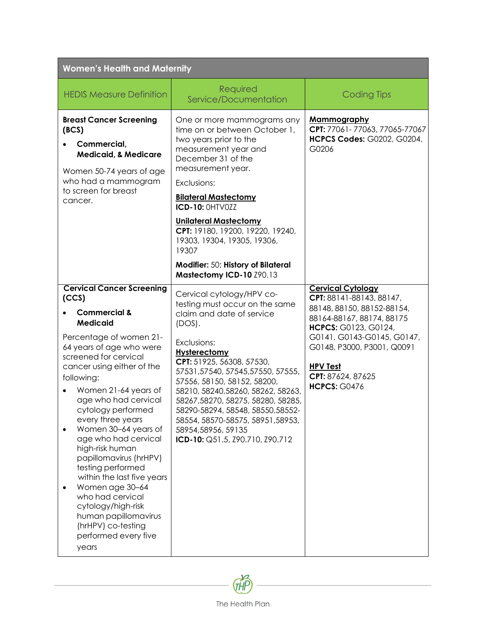| <b>Women's Health and Maternity</b>                                                                                                                                                                                                                                                                                                                                                                                                                                                                                                                                                                        |                                                                                                                                                                                                                                                                                                                                                                                                                                                         |                                                                                                                                                                                                                                                                    |  |
|------------------------------------------------------------------------------------------------------------------------------------------------------------------------------------------------------------------------------------------------------------------------------------------------------------------------------------------------------------------------------------------------------------------------------------------------------------------------------------------------------------------------------------------------------------------------------------------------------------|---------------------------------------------------------------------------------------------------------------------------------------------------------------------------------------------------------------------------------------------------------------------------------------------------------------------------------------------------------------------------------------------------------------------------------------------------------|--------------------------------------------------------------------------------------------------------------------------------------------------------------------------------------------------------------------------------------------------------------------|--|
| <b>HEDIS Measure Definition</b>                                                                                                                                                                                                                                                                                                                                                                                                                                                                                                                                                                            | Required<br>Service/Documentation                                                                                                                                                                                                                                                                                                                                                                                                                       | <b>Coding Tips</b>                                                                                                                                                                                                                                                 |  |
| <b>Breast Cancer Screening</b><br>(BCS)<br>Commercial,<br><b>Medicaid, &amp; Medicare</b><br>Women 50-74 years of age<br>who had a mammogram<br>to screen for breast<br>cancer.                                                                                                                                                                                                                                                                                                                                                                                                                            | One or more mammograms any<br>time on or between October 1,<br>two years prior to the<br>measurement year and<br>December 31 of the<br>measurement year.<br>Exclusions:<br><b>Bilateral Mastectomy</b><br><b>ICD-10: OHTVOZZ</b><br><b>Unilateral Mastectomy</b><br>CPT: 19180, 19200, 19220, 19240,<br>19303, 19304, 19305, 19306,<br>19307                                                                                                            | <b>Mammography</b><br>CPT: 77061-77063, 77065-77067<br><b>HCPCS Codes: G0202, G0204,</b><br>G0206                                                                                                                                                                  |  |
|                                                                                                                                                                                                                                                                                                                                                                                                                                                                                                                                                                                                            | Modifier: 50; History of Bilateral<br>Mastectomy ICD-10 Z90.13                                                                                                                                                                                                                                                                                                                                                                                          |                                                                                                                                                                                                                                                                    |  |
| <b>Cervical Cancer Screening</b><br>(CCS)<br><b>Commercial &amp;</b><br><b>Medicaid</b><br>Percentage of women 21-<br>64 years of age who were<br>screened for cervical<br>cancer using either of the<br>following:<br>Women 21-64 years of<br>age who had cervical<br>cytology performed<br>every three years<br>Women 30-64 years of<br>age who had cervical<br>high-risk human<br>papillomavirus (hrHPV)<br>testing performed<br>within the last five years<br>Women age 30-64<br>who had cervical<br>cytology/high-risk<br>human papillomavirus<br>(hrHPV) co-testing<br>performed every five<br>years | Cervical cytology/HPV co-<br>testing must occur on the same<br>claim and date of service<br>$(DOS)$ .<br>Exclusions:<br><b>Hysterectomy</b><br>CPT: 51925, 56308, 57530,<br>57531,57540,57545,57550,57555,<br>57556, 58150, 58152, 58200,<br>58210, 58240, 58260, 58262, 58263,<br>58267,58270, 58275, 58280, 58285,<br>58290-58294, 58548, 58550, 58552-<br>58554, 58570-58575, 58951, 58953,<br>58954,58956, 59135<br>ICD-10: Q51.5, Z90.710, Z90.712 | <b>Cervical Cytology</b><br>CPT: 88141-88143, 88147,<br>88148, 88150, 88152-88154,<br>88164-88167, 88174, 88175<br>HCPCS: G0123, G0124,<br>G0141, G0143-G0145, G0147,<br>G0148, P3000, P3001, Q0091<br><b>HPV Test</b><br>CPT: 87624, 87625<br><b>HCPCS: G0476</b> |  |

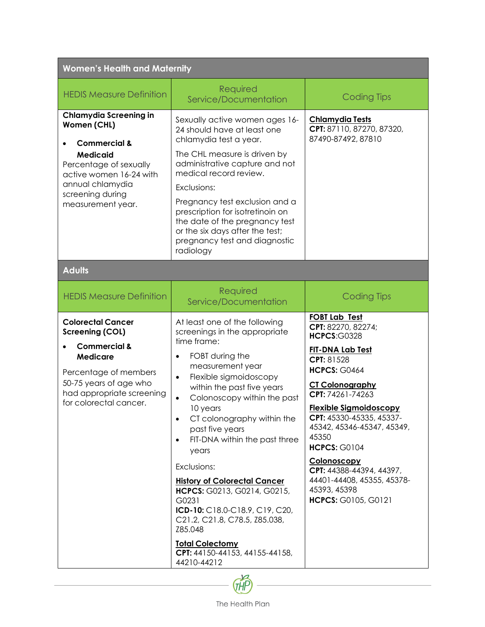| <b>Women's Health and Maternity</b>                                                                                                                                                                          |                                                                                                                                                                                                                                                                                                                                                                                                                                                                                                                                                                                                                               |                                                                                                                                                                                                                                                                                                                                                                                                                                  |  |
|--------------------------------------------------------------------------------------------------------------------------------------------------------------------------------------------------------------|-------------------------------------------------------------------------------------------------------------------------------------------------------------------------------------------------------------------------------------------------------------------------------------------------------------------------------------------------------------------------------------------------------------------------------------------------------------------------------------------------------------------------------------------------------------------------------------------------------------------------------|----------------------------------------------------------------------------------------------------------------------------------------------------------------------------------------------------------------------------------------------------------------------------------------------------------------------------------------------------------------------------------------------------------------------------------|--|
| <b>HEDIS Measure Definition</b>                                                                                                                                                                              | Required<br>Service/Documentation                                                                                                                                                                                                                                                                                                                                                                                                                                                                                                                                                                                             | <b>Coding Tips</b>                                                                                                                                                                                                                                                                                                                                                                                                               |  |
| <b>Chlamydia Screening in</b><br>Women (CHL)<br><b>Commercial &amp;</b><br><b>Medicaid</b><br>Percentage of sexually<br>active women 16-24 with<br>annual chlamydia<br>screening during<br>measurement year. | Sexually active women ages 16-<br>24 should have at least one<br>chlamydia test a year.<br>The CHL measure is driven by<br>administrative capture and not<br>medical record review.<br>Exclusions:<br>Pregnancy test exclusion and a<br>prescription for isotretinoin on<br>the date of the pregnancy test<br>or the six days after the test;<br>pregnancy test and diagnostic<br>radiology                                                                                                                                                                                                                                   | <b>Chlamydia Tests</b><br>CPT: 87110, 87270, 87320,<br>87490-87492, 87810                                                                                                                                                                                                                                                                                                                                                        |  |
| <b>Adults</b>                                                                                                                                                                                                |                                                                                                                                                                                                                                                                                                                                                                                                                                                                                                                                                                                                                               |                                                                                                                                                                                                                                                                                                                                                                                                                                  |  |
| <b>HEDIS Measure Definition</b>                                                                                                                                                                              | Required<br>Service/Documentation                                                                                                                                                                                                                                                                                                                                                                                                                                                                                                                                                                                             | <b>Coding Tips</b>                                                                                                                                                                                                                                                                                                                                                                                                               |  |
| <b>Colorectal Cancer</b><br><b>Screening (COL)</b><br><b>Commercial &amp;</b><br><b>Medicare</b><br>Percentage of members<br>50-75 years of age who<br>had appropriate screening<br>for colorectal cancer.   | At least one of the following<br>screenings in the appropriate<br>time frame:<br>FOBT during the<br>$\bullet$<br>measurement year<br>Flexible sigmoidoscopy<br>$\bullet$<br>within the past five years<br>Colonoscopy within the past<br>$\bullet$<br>10 years<br>CT colonography within the<br>past five years<br>FIT-DNA within the past three<br>$\bullet$<br>years<br>Exclusions:<br><b>History of Colorectal Cancer</b><br>HCPCS: G0213, G0214, G0215,<br>G0231<br>ICD-10: C18.0-C18.9, C19, C20,<br>C21.2, C21.8, C78.5, Z85.038,<br>Z85.048<br><b>Total Colectomy</b><br>CPT: 44150-44153, 44155-44158,<br>44210-44212 | <b>FOBT Lab Test</b><br>CPT: 82270, 82274;<br><b>HCPCS:G0328</b><br><b>FIT-DNA Lab Test</b><br>CPT: 81528<br><b>HCPCS: G0464</b><br><b>CT Colonography</b><br>CPT: 74261-74263<br><b>Flexible Sigmoidoscopy</b><br>CPT: 45330-45335, 45337-<br>45342, 45346-45347, 45349,<br>45350<br><b>HCPCS: G0104</b><br>Colonoscopy<br>CPT: 44388-44394, 44397,<br>44401-44408, 45355, 45378-<br>45393, 45398<br><b>HCPCS: G0105, G0121</b> |  |

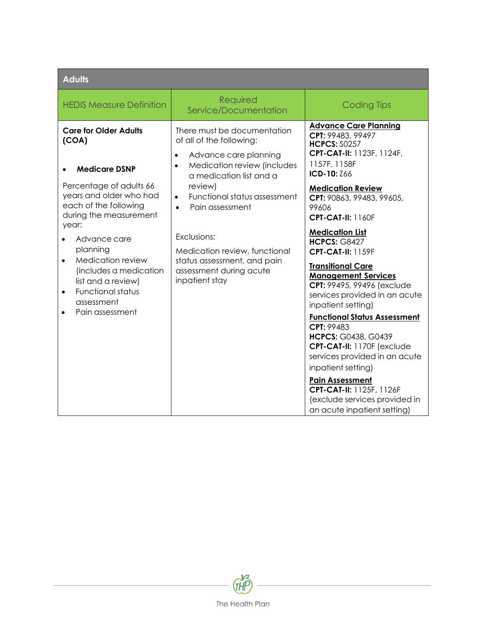| <b>Adults</b>                                                                                                                                                                                                                                                                                                                          |                                                                                                                                                                                                                                                                                                                                                                                          |                                                                                                                                                                                                                                                                                                                                                                                                                                          |  |
|----------------------------------------------------------------------------------------------------------------------------------------------------------------------------------------------------------------------------------------------------------------------------------------------------------------------------------------|------------------------------------------------------------------------------------------------------------------------------------------------------------------------------------------------------------------------------------------------------------------------------------------------------------------------------------------------------------------------------------------|------------------------------------------------------------------------------------------------------------------------------------------------------------------------------------------------------------------------------------------------------------------------------------------------------------------------------------------------------------------------------------------------------------------------------------------|--|
| <b>HEDIS Measure Definition</b>                                                                                                                                                                                                                                                                                                        | Required<br>Service/Documentation                                                                                                                                                                                                                                                                                                                                                        | <b>Coding Tips</b>                                                                                                                                                                                                                                                                                                                                                                                                                       |  |
| <b>Care for Older Adults</b><br>(COA)<br><b>Medicare DSNP</b><br>Percentage of adults 66<br>years and older who had<br>each of the following<br>during the measurement<br>year:<br>Advance care<br>planning<br>Medication review<br>$\bullet$<br>(includes a medication<br>list and a review)<br><b>Functional status</b><br>$\bullet$ | There must be documentation<br>of all of the following:<br>Advance care planning<br>$\bullet$<br>Medication review (includes<br>$\bullet$<br>a medication list and a<br>review)<br>Functional status assessment<br>$\bullet$<br>Pain assessment<br>$\bullet$<br>Exclusions:<br>Medication review, functional<br>status assessment, and pain<br>assessment during acute<br>inpatient stay | <b>Advance Care Planning</b><br>CPT: 99483, 99497<br><b>HCPCS: S0257</b><br>CPT-CAT-II: 1123F, 1124F,<br>1157F, 1158F<br>ICD-10: Z66<br><b>Medication Review</b><br>CPT: 90863, 99483, 99605,<br>99606<br><b>CPT-CAT-II: 1160F</b><br><b>Medication List</b><br><b>HCPCS: G8427</b><br><b>CPT-CAT-II: 1159F</b><br><b>Transitional Care</b><br><b>Management Services</b><br>CPT: 99495, 99496 (exclude<br>services provided in an acute |  |
| assessment<br>Pain assessment<br>$\bullet$                                                                                                                                                                                                                                                                                             |                                                                                                                                                                                                                                                                                                                                                                                          | inpatient setting)<br><b>Functional Status Assessment</b><br>CPT: 99483<br><b>HCPCS: G0438, G0439</b><br>CPT-CAT-II: 1170F (exclude<br>services provided in an acute<br>inpatient setting)<br><b>Pain Assessment</b><br>CPT-CAT-II: 1125F, 1126F<br>(exclude services provided in<br>an acute inpatient setting)                                                                                                                         |  |

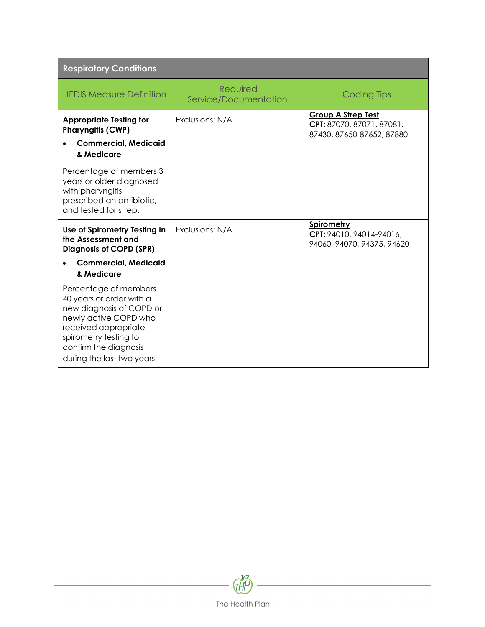| <b>Respiratory Conditions</b>                                                                                                                                                                                  |                                   |                                                                                     |
|----------------------------------------------------------------------------------------------------------------------------------------------------------------------------------------------------------------|-----------------------------------|-------------------------------------------------------------------------------------|
| <b>HEDIS Measure Definition</b>                                                                                                                                                                                | Required<br>Service/Documentation | <b>Coding Tips</b>                                                                  |
| <b>Appropriate Testing for</b><br><b>Pharyngitis (CWP)</b><br><b>Commercial, Medicaid</b><br>& Medicare                                                                                                        | Exclusions: N/A                   | <b>Group A Strep Test</b><br>CPT: 87070, 87071, 87081,<br>87430, 87650-87652, 87880 |
| Percentage of members 3<br>years or older diagnosed<br>with pharyngitis,<br>prescribed an antibiotic,<br>and tested for strep.                                                                                 |                                   |                                                                                     |
| Use of Spirometry Testing in<br>the Assessment and<br><b>Diagnosis of COPD (SPR)</b><br><b>Commercial, Medicaid</b><br>& Medicare                                                                              | Exclusions: N/A                   | Spirometry<br>CPT: 94010, 94014-94016,<br>94060, 94070, 94375, 94620                |
| Percentage of members<br>40 years or order with a<br>new diagnosis of COPD or<br>newly active COPD who<br>received appropriate<br>spirometry testing to<br>confirm the diagnosis<br>during the last two years. |                                   |                                                                                     |

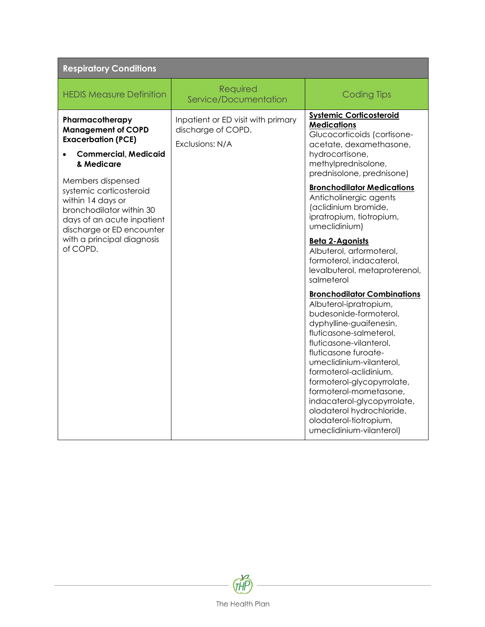| <b>Respiratory Conditions</b>                                                                                                                                                                                                                                                                                                |                                                                             |                                                                                                                                                                                                                                                                                                                                                                                                                                                                                                                                                                                                                                                                                                                                                                                                                                                                                               |
|------------------------------------------------------------------------------------------------------------------------------------------------------------------------------------------------------------------------------------------------------------------------------------------------------------------------------|-----------------------------------------------------------------------------|-----------------------------------------------------------------------------------------------------------------------------------------------------------------------------------------------------------------------------------------------------------------------------------------------------------------------------------------------------------------------------------------------------------------------------------------------------------------------------------------------------------------------------------------------------------------------------------------------------------------------------------------------------------------------------------------------------------------------------------------------------------------------------------------------------------------------------------------------------------------------------------------------|
| <b>HEDIS Measure Definition</b>                                                                                                                                                                                                                                                                                              | Required<br>Service/Documentation                                           | <b>Coding Tips</b>                                                                                                                                                                                                                                                                                                                                                                                                                                                                                                                                                                                                                                                                                                                                                                                                                                                                            |
| Pharmacotherapy<br><b>Management of COPD</b><br><b>Exacerbation (PCE)</b><br><b>Commercial, Medicaid</b><br>& Medicare<br>Members dispensed<br>systemic corticosteroid<br>within 14 days or<br>bronchodilator within 30<br>days of an acute inpatient<br>discharge or ED encounter<br>with a principal diagnosis<br>of COPD. | Inpatient or ED visit with primary<br>discharge of COPD.<br>Exclusions: N/A | <b>Systemic Corticosteroid</b><br><b>Medications</b><br>Glucocorticoids (cortisone-<br>acetate, dexamethasone,<br>hydrocortisone,<br>methylprednisolone,<br>prednisolone, prednisone)<br><b>Bronchodilator Medications</b><br>Anticholinergic agents<br>(aclidinium bromide,<br>ipratropium, tiotropium,<br>umeclidinium)<br><b>Beta 2-Agonists</b><br>Albuterol, arformoterol,<br>formoterol, indacaterol,<br>levalbuterol, metaproterenol,<br>salmeterol<br><b>Bronchodilator Combinations</b><br>Albuterol-ipratropium,<br>budesonide-formoterol,<br>dyphylline-guaifenesin,<br>fluticasone-salmeterol,<br>fluticasone-vilanterol,<br>fluticasone furoate-<br>umeclidinium-vilanterol,<br>formoterol-aclidinium,<br>formoterol-glycopyrrolate,<br>formoterol-mometasone,<br>indacaterol-glycopyrrolate,<br>olodaterol hydrochloride,<br>olodaterol-tiotropium,<br>umeclidinium-vilanterol) |

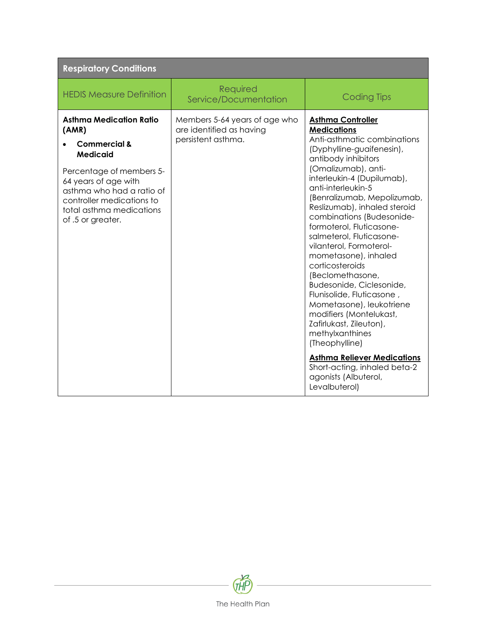| <b>Respiratory Conditions</b>                                                                                                                                                                                                                        |                                                                                 |                                                                                                                                                                                                                                                                                                                                                                                                                                                            |  |
|------------------------------------------------------------------------------------------------------------------------------------------------------------------------------------------------------------------------------------------------------|---------------------------------------------------------------------------------|------------------------------------------------------------------------------------------------------------------------------------------------------------------------------------------------------------------------------------------------------------------------------------------------------------------------------------------------------------------------------------------------------------------------------------------------------------|--|
| <b>HEDIS Measure Definition</b>                                                                                                                                                                                                                      | Required<br>Service/Documentation                                               | <b>Coding Tips</b>                                                                                                                                                                                                                                                                                                                                                                                                                                         |  |
| <b>Asthma Medication Ratio</b><br>(AMR)<br><b>Commercial &amp;</b><br><b>Medicaid</b><br>Percentage of members 5-<br>64 years of age with<br>asthma who had a ratio of<br>controller medications to<br>total asthma medications<br>of .5 or greater. | Members 5-64 years of age who<br>are identified as having<br>persistent asthma. | <b>Asthma Controller</b><br><b>Medications</b><br>Anti-asthmatic combinations<br>(Dyphylline-guaifenesin),<br>antibody inhibitors<br>(Omalizumab), anti-<br>interleukin-4 (Dupilumab),<br>anti-interleukin-5<br>(Benralizumab, Mepolizumab,<br>Reslizumab), inhaled steroid<br>combinations (Budesonide-<br>formoterol, Fluticasone-<br>salmeterol, Fluticasone-<br>vilanterol, Formoterol-<br>mometasone), inhaled<br>corticosteroids<br>(Beclomethasone, |  |
|                                                                                                                                                                                                                                                      |                                                                                 | Budesonide, Ciclesonide,<br>Flunisolide, Fluticasone,<br>Mometasone), leukotriene<br>modifiers (Montelukast,<br>Zafirlukast, Zileuton),<br>methylxanthines<br>(Theophylline)<br><b>Asthma Reliever Medications</b><br>Short-acting, inhaled beta-2<br>agonists (Albuterol,<br>Levalbuterol)                                                                                                                                                                |  |

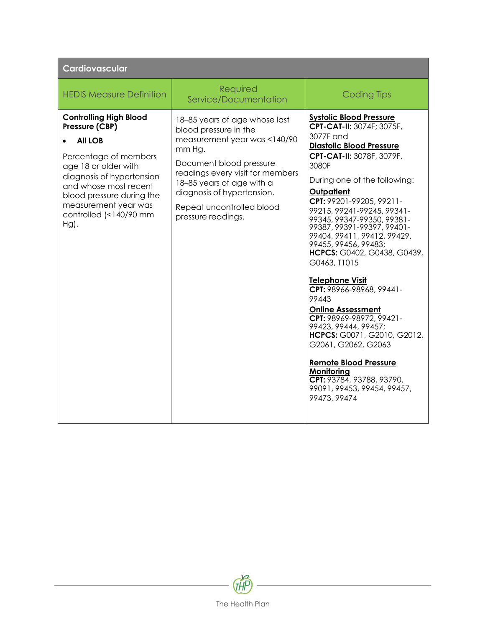| <b>Cardiovascular</b>                                                                                                                                                                                                                                              |                                                                                                                                                                                                                                                                               |                                                                                                                                                                                                                                                                                                                                                                                                                                                                                                                                                                                                                                                                                                                                                     |  |
|--------------------------------------------------------------------------------------------------------------------------------------------------------------------------------------------------------------------------------------------------------------------|-------------------------------------------------------------------------------------------------------------------------------------------------------------------------------------------------------------------------------------------------------------------------------|-----------------------------------------------------------------------------------------------------------------------------------------------------------------------------------------------------------------------------------------------------------------------------------------------------------------------------------------------------------------------------------------------------------------------------------------------------------------------------------------------------------------------------------------------------------------------------------------------------------------------------------------------------------------------------------------------------------------------------------------------------|--|
| <b>HEDIS Measure Definition</b>                                                                                                                                                                                                                                    | Required<br>Service/Documentation                                                                                                                                                                                                                                             | <b>Coding Tips</b>                                                                                                                                                                                                                                                                                                                                                                                                                                                                                                                                                                                                                                                                                                                                  |  |
| <b>Controlling High Blood</b><br>Pressure (CBP)<br><b>All LOB</b><br>Percentage of members<br>age 18 or older with<br>diagnosis of hypertension<br>and whose most recent<br>blood pressure during the<br>measurement year was<br>controlled (<140/90 mm<br>$Hg$ ). | 18-85 years of age whose last<br>blood pressure in the<br>measurement year was <140/90<br>mm Hg.<br>Document blood pressure<br>readings every visit for members<br>18-85 years of age with a<br>diagnosis of hypertension.<br>Repeat uncontrolled blood<br>pressure readings. | <b>Systolic Blood Pressure</b><br>CPT-CAT-II: 3074F; 3075F,<br>3077F and<br><b>Diastolic Blood Pressure</b><br>CPT-CAT-II: 3078F, 3079F,<br>3080F<br>During one of the following:<br>Outpatient<br>CPT: 99201-99205, 99211-<br>99215, 99241-99245, 99341-<br>99345, 99347-99350, 99381-<br>99387, 99391-99397, 99401-<br>99404, 99411, 99412, 99429,<br>99455, 99456, 99483;<br>HCPCS: G0402, G0438, G0439,<br>G0463, T1015<br>Telephone Visit<br>CPT: 98966-98968, 99441-<br>99443<br><b>Online Assessment</b><br>CPT: 98969-98972, 99421-<br>99423, 99444, 99457;<br>HCPCS: G0071, G2010, G2012,<br>G2061, G2062, G2063<br><b>Remote Blood Pressure</b><br>Monitoring<br>CPT: 93784, 93788, 93790,<br>99091, 99453, 99454, 99457,<br>99473, 99474 |  |

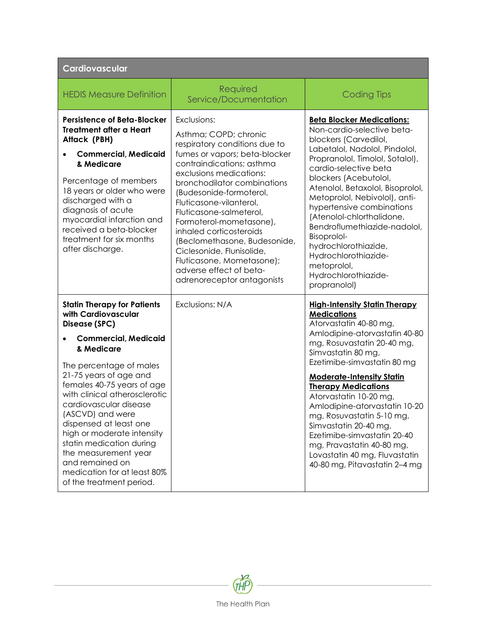| Cardiovascular                                                                                                                                                                                                                                                                                                                                                                                                                                                                      |                                                                                                                                                                                                                                                                                                                                                                                                                                                                                         |                                                                                                                                                                                                                                                                                                                                                                                                                                                                                                                           |
|-------------------------------------------------------------------------------------------------------------------------------------------------------------------------------------------------------------------------------------------------------------------------------------------------------------------------------------------------------------------------------------------------------------------------------------------------------------------------------------|-----------------------------------------------------------------------------------------------------------------------------------------------------------------------------------------------------------------------------------------------------------------------------------------------------------------------------------------------------------------------------------------------------------------------------------------------------------------------------------------|---------------------------------------------------------------------------------------------------------------------------------------------------------------------------------------------------------------------------------------------------------------------------------------------------------------------------------------------------------------------------------------------------------------------------------------------------------------------------------------------------------------------------|
| <b>HEDIS Measure Definition</b>                                                                                                                                                                                                                                                                                                                                                                                                                                                     | Required<br>Service/Documentation                                                                                                                                                                                                                                                                                                                                                                                                                                                       | <b>Coding Tips</b>                                                                                                                                                                                                                                                                                                                                                                                                                                                                                                        |
| <b>Persistence of Beta-Blocker</b><br><b>Treatment after a Heart</b><br>Attack (PBH)<br><b>Commercial, Medicaid</b><br>& Medicare<br>Percentage of members<br>18 years or older who were<br>discharged with a<br>diagnosis of acute<br>myocardial infarction and<br>received a beta-blocker<br>treatment for six months<br>after discharge.                                                                                                                                         | Exclusions:<br>Asthma; COPD; chronic<br>respiratory conditions due to<br>fumes or vapors; beta-blocker<br>contraindications; asthma<br>exclusions medications:<br>bronchodilator combinations<br>(Budesonide-formoterol,<br>Fluticasone-vilanterol,<br>Fluticasone-salmeterol,<br>Formoterol-mometasone),<br>inhaled corticosteroids<br>(Beclomethasone, Budesonide,<br>Ciclesonide, Flunisolide,<br>Fluticasone, Mometasone);<br>adverse effect of beta-<br>adrenoreceptor antagonists | <b>Beta Blocker Medications:</b><br>Non-cardio-selective beta-<br>blockers (Carvedilol,<br>Labetalol, Nadolol, Pindolol,<br>Propranolol, Timolol, Sotalol),<br>cardio-selective beta<br>blockers (Acebutolol,<br>Atenolol, Betaxolol, Bisoprolol,<br>Metoprolol, Nebivolol), anti-<br>hypertensive combinations<br>(Atenolol-chlorthalidone,<br>Bendroflumethiazide-nadolol,<br>Bisoprolol-<br>hydrochlorothiazide,<br>Hydrochlorothiazide-<br>metoprolol,<br>Hydrochlorothiazide-<br>propranolol)                        |
| <b>Statin Therapy for Patients</b><br>with Cardiovascular<br>Disease (SPC)<br><b>Commercial, Medicaid</b><br>& Medicare<br>The percentage of males<br>21-75 years of age and<br>females 40-75 years of age<br>with clinical atherosclerotic<br>cardiovascular disease<br>(ASCVD) and were<br>dispensed at least one<br>high or moderate intensity<br>statin medication during<br>the measurement year<br>and remained on<br>medication for at least 80%<br>of the treatment period. | Exclusions: N/A                                                                                                                                                                                                                                                                                                                                                                                                                                                                         | <b>High-Intensity Statin Therapy</b><br><b>Medications</b><br>Atorvastatin 40-80 mg,<br>Amlodipine-atorvastatin 40-80<br>mg, Rosuvastatin 20-40 mg,<br>Simvastatin 80 mg,<br>Ezetimibe-simvastatin 80 mg<br><b>Moderate-Intensity Statin</b><br><b>Therapy Medications</b><br>Atorvastatin 10-20 mg,<br>Amlodipine-atorvastatin 10-20<br>mg, Rosuvastatin 5-10 mg,<br>Simvastatin 20-40 mg,<br>Ezetimibe-simvastatin 20-40<br>mg, Pravastatin 40-80 mg,<br>Lovastatin 40 mg, Fluvastatin<br>40-80 mg, Pitavastatin 2-4 mg |

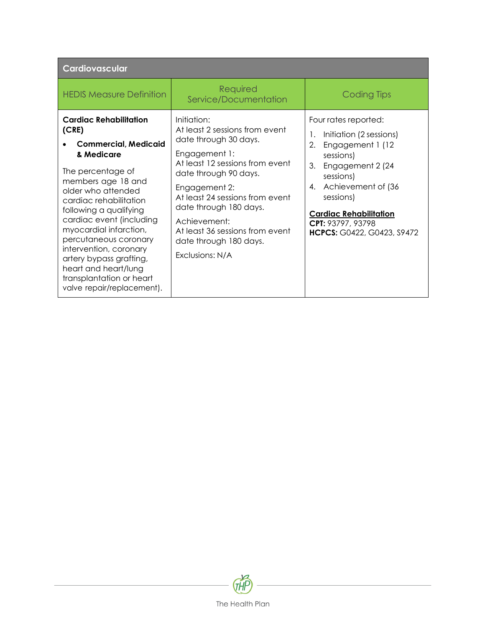| Cardiovascular                                                                                                                                                                                                                                                                                                                                                                                                                 |                                                                                                                                                                                                                                                                                                                                   |                                                                                                                                                                                                                                                                |
|--------------------------------------------------------------------------------------------------------------------------------------------------------------------------------------------------------------------------------------------------------------------------------------------------------------------------------------------------------------------------------------------------------------------------------|-----------------------------------------------------------------------------------------------------------------------------------------------------------------------------------------------------------------------------------------------------------------------------------------------------------------------------------|----------------------------------------------------------------------------------------------------------------------------------------------------------------------------------------------------------------------------------------------------------------|
| <b>HEDIS Measure Definition</b>                                                                                                                                                                                                                                                                                                                                                                                                | Required<br>Service/Documentation                                                                                                                                                                                                                                                                                                 | Coding Tips                                                                                                                                                                                                                                                    |
| <b>Cardiac Rehabilitation</b><br>(CRE)<br><b>Commercial, Medicaid</b><br>& Medicare<br>The percentage of<br>members age 18 and<br>older who attended<br>cardiac rehabilitation<br>following a qualifying<br>cardiac event (including<br>myocardial infarction,<br>percutaneous coronary<br>intervention, coronary<br>artery bypass grafting,<br>heart and heart/lung<br>transplantation or heart<br>valve repair/replacement). | Initiation:<br>At least 2 sessions from event<br>date through 30 days.<br>Engagement 1:<br>At least 12 sessions from event<br>date through 90 days.<br>Engagement 2:<br>At least 24 sessions from event<br>date through 180 days.<br>Achievement:<br>At least 36 sessions from event<br>date through 180 days.<br>Exclusions: N/A | Four rates reported:<br>Initiation (2 sessions)<br>1.<br>Engagement 1 (12)<br>2.<br>sessions)<br>Engagement 2 (24<br>3.<br>sessions)<br>4. Achievement of (36<br>sessions)<br><b>Cardiac Rehabilitation</b><br>CPT: 93797, 93798<br>HCPCS: G0422, G0423, S9472 |

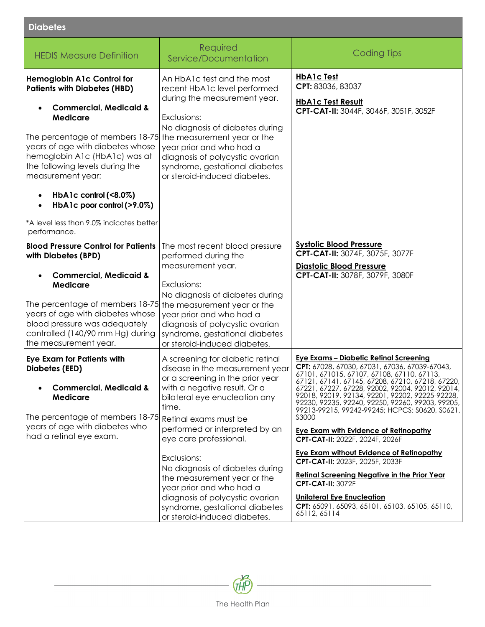| <b>Diabetes</b>                                                                                                                                                                                                           |                                                                                                                                                                                                                                                                        |                                                                                                                                                                                                                                                                                                                                                                                                                                                                                                            |
|---------------------------------------------------------------------------------------------------------------------------------------------------------------------------------------------------------------------------|------------------------------------------------------------------------------------------------------------------------------------------------------------------------------------------------------------------------------------------------------------------------|------------------------------------------------------------------------------------------------------------------------------------------------------------------------------------------------------------------------------------------------------------------------------------------------------------------------------------------------------------------------------------------------------------------------------------------------------------------------------------------------------------|
| <b>HEDIS Measure Definition</b>                                                                                                                                                                                           | Required<br>Service/Documentation                                                                                                                                                                                                                                      | <b>Coding Tips</b>                                                                                                                                                                                                                                                                                                                                                                                                                                                                                         |
| <b>Hemoglobin A1c Control for</b><br><b>Patients with Diabetes (HBD)</b><br><b>Commercial, Medicaid &amp;</b>                                                                                                             | An HbA1c test and the most<br>recent HbA1c level performed<br>during the measurement year.                                                                                                                                                                             | <b>HbA1c Test</b><br>CPT: 83036, 83037<br><b>HbA1c Test Result</b><br>CPT-CAT-II: 3044F, 3046F, 3051F, 3052F                                                                                                                                                                                                                                                                                                                                                                                               |
| <b>Medicare</b><br>The percentage of members 18-75<br>years of age with diabetes whose<br>hemoglobin A1c (HbA1c) was at<br>the following levels during the<br>measurement year:                                           | Exclusions:<br>No diagnosis of diabetes during<br>the measurement year or the<br>year prior and who had a<br>diagnosis of polycystic ovarian<br>syndrome, gestational diabetes<br>or steroid-induced diabetes.                                                         |                                                                                                                                                                                                                                                                                                                                                                                                                                                                                                            |
| HbA1c control $($ $8.0\%)$<br>HbA1c poor control $(>9.0\%)$<br>*A level less than 9.0% indicates better<br>performance.                                                                                                   |                                                                                                                                                                                                                                                                        |                                                                                                                                                                                                                                                                                                                                                                                                                                                                                                            |
| <b>Blood Pressure Control for Patients</b><br>with Diabetes (BPD)                                                                                                                                                         | The most recent blood pressure<br>performed during the<br>measurement year.                                                                                                                                                                                            | <b>Systolic Blood Pressure</b><br>CPT-CAT-II: 3074F, 3075F, 3077F<br><b>Diastolic Blood Pressure</b>                                                                                                                                                                                                                                                                                                                                                                                                       |
| <b>Commercial, Medicaid &amp;</b><br><b>Medicare</b><br>The percentage of members 18-75<br>years of age with diabetes whose<br>blood pressure was adequately<br>controlled (140/90 mm Hg) during<br>the measurement year. | Exclusions:<br>No diagnosis of diabetes during<br>the measurement year or the<br>year prior and who had a<br>diagnosis of polycystic ovarian<br>syndrome, gestational diabetes<br>or steroid-induced diabetes.                                                         | CPT-CAT-II: 3078F, 3079F, 3080F                                                                                                                                                                                                                                                                                                                                                                                                                                                                            |
| <b>Eye Exam for Patients with</b><br><b>Diabetes (EED)</b><br><b>Commercial, Medicaid &amp;</b><br><b>Medicare</b><br>The percentage of members 18-75<br>years of age with diabetes who<br>had a retinal eye exam.        | A screening for diabetic retinal<br>disease in the measurement year<br>or a screening in the prior year<br>with a negative result. Or a<br>bilateral eye enucleation any<br>time.<br>Retinal exams must be<br>performed or interpreted by an<br>eye care professional. | <u> Eye Exams – Diabetic Retinal Screening</u><br>CPT: 67028, 67030, 67031, 67036, 67039-67043,<br>67101, 671015, 67107, 67108, 67110, 67113,<br>67121, 67141, 67145, 67208, 67210, 67218, 67220,<br>67221, 67227, 67228, 92002, 92004, 92012, 92014,<br>92018, 92019, 92134, 92201, 92202, 92225-92228,<br>92230, 92235, 92240, 92250, 92260, 99203, 99205,<br>99213-99215, 99242-99245; HCPCS: S0620, S0621,<br>S3000<br><b>Eye Exam with Evidence of Retinopathy</b><br>CPT-CAT-II: 2022F, 2024F, 2026F |
|                                                                                                                                                                                                                           | Exclusions:<br>No diagnosis of diabetes during<br>the measurement year or the<br>year prior and who had a<br>diagnosis of polycystic ovarian<br>syndrome, gestational diabetes<br>or steroid-induced diabetes.                                                         | <b>Eye Exam without Evidence of Retinopathy</b><br>CPT-CAT-II: 2023F, 2025F, 2033F<br><b>Retinal Screening Negative in the Prior Year</b><br><b>CPT-CAT-II: 3072F</b><br><b>Unilateral Eye Enucleation</b><br>CPT: 65091, 65093, 65101, 65103, 65105, 65110,<br>65112, 65114                                                                                                                                                                                                                               |

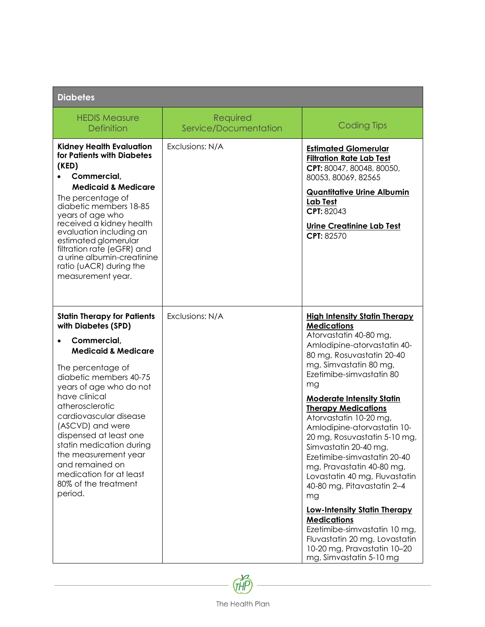| <b>Diabetes</b>                                                                                                                                                                                                                                                                                                                                                                                                                       |                                   |                                                                                                                                                                                                                                                                                                                                                                                                                                                                                                                                                                                                                                                                                               |
|---------------------------------------------------------------------------------------------------------------------------------------------------------------------------------------------------------------------------------------------------------------------------------------------------------------------------------------------------------------------------------------------------------------------------------------|-----------------------------------|-----------------------------------------------------------------------------------------------------------------------------------------------------------------------------------------------------------------------------------------------------------------------------------------------------------------------------------------------------------------------------------------------------------------------------------------------------------------------------------------------------------------------------------------------------------------------------------------------------------------------------------------------------------------------------------------------|
| <b>HEDIS Measure</b><br><b>Definition</b>                                                                                                                                                                                                                                                                                                                                                                                             | Required<br>Service/Documentation | <b>Coding Tips</b>                                                                                                                                                                                                                                                                                                                                                                                                                                                                                                                                                                                                                                                                            |
| <b>Kidney Health Evaluation</b><br>for Patients with Diabetes<br>(KED)<br>Commercial,<br><b>Medicaid &amp; Medicare</b><br>The percentage of<br>diabetic members 18-85<br>years of age who<br>received a kidney health<br>evaluation including an<br>estimated glomerular<br>filtration rate (eGFR) and<br>a urine albumin-creatinine<br>ratio (uACR) during the<br>measurement year.                                                 | Exclusions: N/A                   | <b>Estimated Glomerular</b><br><b>Filtration Rate Lab Test</b><br>CPT: 80047, 80048, 80050,<br>80053, 80069, 82565<br><b>Quantitative Urine Albumin</b><br><b>Lab Test</b><br>CPT: 82043<br>Urine Creatinine Lab Test<br>CPT: 82570                                                                                                                                                                                                                                                                                                                                                                                                                                                           |
| <b>Statin Therapy for Patients</b><br>with Diabetes (SPD)<br>Commercial,<br><b>Medicaid &amp; Medicare</b><br>The percentage of<br>digbetic members 40-75<br>years of age who do not<br>have clinical<br>atherosclerotic<br>cardiovascular disease<br>(ASCVD) and were<br>dispensed at least one<br>statin medication during<br>the measurement year<br>and remained on<br>medication for at least<br>80% of the treatment<br>period. | Exclusions: N/A                   | <b>High Intensity Statin Therapy</b><br><b>Medications</b><br>Atorvastatin 40-80 mg,<br>Amlodipine-atorvastatin 40-<br>80 mg, Rosuvastatin 20-40<br>mg, Simvastatin 80 mg,<br>Ezetimibe-simvastatin 80<br>mg<br><b>Moderate Intensity Statin</b><br><b>Therapy Medications</b><br>Atorvastatin 10-20 mg,<br>Amlodipine-atorvastatin 10-<br>20 mg, Rosuvastatin 5-10 mg<br>Simvastatin 20-40 mg,<br>Ezetimibe-simvastatin 20-40<br>mg, Pravastatin 40-80 mg,<br>Lovastatin 40 mg, Fluvastatin<br>40-80 mg, Pitavastatin 2-4<br>mg<br><b>Low-Intensity Statin Therapy</b><br><b>Medications</b><br>Ezetimibe-simvastatin 10 mg,<br>Fluvastatin 20 mg, Lovastatin<br>10-20 mg, Pravastatin 10-20 |

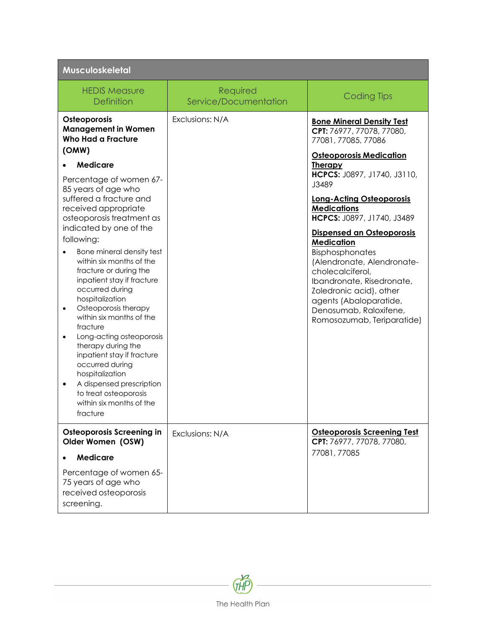| Musculoskeletal                                                                                                                                                                                                                                                                                                                                                                                                                                                                                                                                                                                                                                                                                                                                                 |                                   |                                                                                                                                                                                                                                                                                                                                                                                                                                                                                                                                          |
|-----------------------------------------------------------------------------------------------------------------------------------------------------------------------------------------------------------------------------------------------------------------------------------------------------------------------------------------------------------------------------------------------------------------------------------------------------------------------------------------------------------------------------------------------------------------------------------------------------------------------------------------------------------------------------------------------------------------------------------------------------------------|-----------------------------------|------------------------------------------------------------------------------------------------------------------------------------------------------------------------------------------------------------------------------------------------------------------------------------------------------------------------------------------------------------------------------------------------------------------------------------------------------------------------------------------------------------------------------------------|
| <b>HEDIS Measure</b><br><b>Definition</b>                                                                                                                                                                                                                                                                                                                                                                                                                                                                                                                                                                                                                                                                                                                       | Required<br>Service/Documentation | <b>Coding Tips</b>                                                                                                                                                                                                                                                                                                                                                                                                                                                                                                                       |
| Osteoporosis<br><b>Management in Women</b><br><b>Who Had a Fracture</b><br>(OMW)<br><b>Medicare</b><br>Percentage of women 67-<br>85 years of age who<br>suffered a fracture and<br>received appropriate<br>osteoporosis treatment as<br>indicated by one of the<br>following:<br>Bone mineral density test<br>within six months of the<br>fracture or during the<br>inpatient stay if fracture<br>occurred during<br>hospitalization<br>Osteoporosis therapy<br>$\bullet$<br>within six months of the<br>fracture<br>Long-acting osteoporosis<br>$\bullet$<br>therapy during the<br>inpatient stay if fracture<br>occurred during<br>hospitalization<br>A dispensed prescription<br>$\bullet$<br>to treat osteoporosis<br>within six months of the<br>fracture | Exclusions: N/A                   | <b>Bone Mineral Density Test</b><br>CPT: 76977, 77078, 77080,<br>77081, 77085, 77086<br><b>Osteoporosis Medication</b><br><b>Therapy</b><br>HCPCS: J0897, J1740, J3110,<br>J3489<br><b>Long-Acting Osteoporosis</b><br><b>Medications</b><br>HCPCS: J0897, J1740, J3489<br>Dispensed an Osteoporosis<br><b>Medication</b><br>Bisphosphonates<br>(Alendronate, Alendronate-<br>cholecalciferol,<br>Ibandronate, Risedronate,<br>Zoledronic acid), other<br>agents (Abaloparatide,<br>Denosumab, Raloxifene,<br>Romosozumab, Teriparatide) |
| <b>Osteoporosis Screening in</b><br>Older Women (OSW)<br><b>Medicare</b>                                                                                                                                                                                                                                                                                                                                                                                                                                                                                                                                                                                                                                                                                        | Exclusions: N/A                   | <b>Osteoporosis Screening Test</b><br>CPT: 76977, 77078, 77080,<br>77081, 77085                                                                                                                                                                                                                                                                                                                                                                                                                                                          |
| Percentage of women 65-<br>75 years of age who<br>received osteoporosis<br>screening.                                                                                                                                                                                                                                                                                                                                                                                                                                                                                                                                                                                                                                                                           |                                   |                                                                                                                                                                                                                                                                                                                                                                                                                                                                                                                                          |

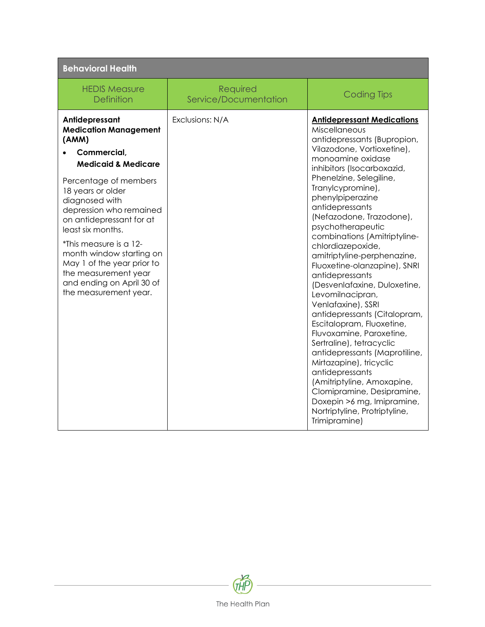| <b>Behavioral Health</b>                                                                                                                                                                                                                                                                                                                                                                                               |                                   |                                                                                                                                                                                                                                                                                                                                                                                                                                                                                                                                                                                                                                                                                                                                                                                                                                                                                    |
|------------------------------------------------------------------------------------------------------------------------------------------------------------------------------------------------------------------------------------------------------------------------------------------------------------------------------------------------------------------------------------------------------------------------|-----------------------------------|------------------------------------------------------------------------------------------------------------------------------------------------------------------------------------------------------------------------------------------------------------------------------------------------------------------------------------------------------------------------------------------------------------------------------------------------------------------------------------------------------------------------------------------------------------------------------------------------------------------------------------------------------------------------------------------------------------------------------------------------------------------------------------------------------------------------------------------------------------------------------------|
| <b>HEDIS Measure</b><br><b>Definition</b>                                                                                                                                                                                                                                                                                                                                                                              | Required<br>Service/Documentation | <b>Coding Tips</b>                                                                                                                                                                                                                                                                                                                                                                                                                                                                                                                                                                                                                                                                                                                                                                                                                                                                 |
| Antidepressant<br><b>Medication Management</b><br>(AMM)<br>Commercial.<br><b>Medicaid &amp; Medicare</b><br>Percentage of members<br>18 years or older<br>diagnosed with<br>depression who remained<br>on antidepressant for at<br>least six months.<br>*This measure is a 12-<br>month window starting on<br>May 1 of the year prior to<br>the measurement year<br>and ending on April 30 of<br>the measurement year. | Exclusions: N/A                   | <b>Antidepressant Medications</b><br><b>Miscellaneous</b><br>antidepressants (Bupropion,<br>Vilazodone, Vortioxetine),<br>monoamine oxidase<br>inhibitors (Isocarboxazid,<br>Phenelzine, Selegiline,<br>Tranylcypromine),<br>phenylpiperazine<br>antidepressants<br>(Nefazodone, Trazodone),<br>psychotherapeutic<br>combinations (Amitriptyline-<br>chlordiazepoxide,<br>amitriptyline-perphenazine,<br>Fluoxetine-olanzapine), SNRI<br>antidepressants<br>(Desvenlafaxine, Duloxetine,<br>Levomilnacipran,<br>Venlafaxine), SSRI<br>antidepressants (Citalopram,<br>Escitalopram, Fluoxetine,<br>Fluvoxamine, Paroxetine,<br>Sertraline), tetracyclic<br>antidepressants (Maprotiline,<br>Mirtazapine), tricyclic<br>antidepressants<br>(Amitriptyline, Amoxapine,<br>Clomipramine, Desipramine,<br>Doxepin >6 mg, Imipramine,<br>Nortriptyline, Protriptyline,<br>Trimipramine) |

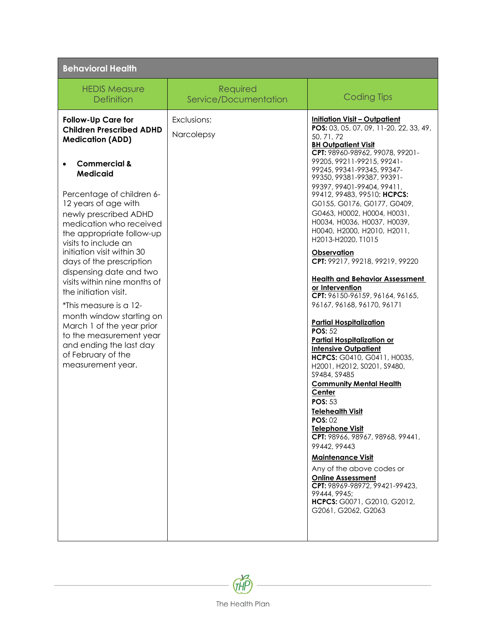| <b>Behavioral Health</b>                                                                                                                               |                                   |                                                                                                                                                                                                                                                |
|--------------------------------------------------------------------------------------------------------------------------------------------------------|-----------------------------------|------------------------------------------------------------------------------------------------------------------------------------------------------------------------------------------------------------------------------------------------|
| <b>HEDIS Measure</b><br><b>Definition</b>                                                                                                              | Required<br>Service/Documentation | <b>Coding Tips</b>                                                                                                                                                                                                                             |
| <b>Follow-Up Care for</b><br><b>Children Prescribed ADHD</b><br><b>Medication (ADD)</b>                                                                | Exclusions:<br>Narcolepsy         | <b>Initiation Visit - Outpatient</b><br>POS: 03, 05, 07, 09, 11-20, 22, 33, 49,<br>50, 71, 72<br><b>BH Outpatient Visit</b><br>CPT: 98960-98962, 99078, 99201-                                                                                 |
| <b>Commercial &amp;</b><br><b>Medicaid</b><br>Percentage of children 6-<br>12 years of age with<br>newly prescribed ADHD                               |                                   | 99205, 99211-99215, 99241-<br>99245, 99341-99345, 99347-<br>99350, 99381-99387, 99391-<br>99397, 99401-99404, 99411,<br>99412, 99483, 99510; HCPCS:<br>G0155, G0176, G0177, G0409,<br>G0463, H0002, H0004, H0031,                              |
| medication who received<br>the appropriate follow-up<br>visits to include an<br>initiation visit within 30<br>days of the prescription                 |                                   | НООЗ4, НООЗ6, НООЗ7, НООЗ9,<br>H0040, H2000, H2010, H2011,<br>H2013-H2020, T1015<br>Observation<br>CPT: 99217, 99218, 99219, 99220                                                                                                             |
| dispensing date and two<br>visits within nine months of<br>the initiation visit.<br>*This measure is a 12-                                             |                                   | <b>Health and Behavior Assessment</b><br>or Intervention<br>CPT: 96150-96159, 96164, 96165,<br>96167, 96168, 96170, 96171                                                                                                                      |
| month window starting on<br>March 1 of the year prior<br>to the measurement year<br>and ending the last day<br>of February of the<br>measurement year. |                                   | <b>Partial Hospitalization</b><br><b>POS: 52</b><br><b>Partial Hospitalization or</b><br><b>Intensive Outpatient</b><br>HCPCS: G0410, G0411, H0035,<br>H2001, H2012, S0201, S9480,<br>S9484, S9485<br><b>Community Mental Health</b><br>Center |
|                                                                                                                                                        |                                   | <b>POS: 53</b><br><b>Telehealth Visit</b><br><b>POS: 02</b><br><b>Telephone Visit</b><br>CPT: 98966, 98967, 98968, 99441,<br>99442, 99443<br><b>Maintenance Visit</b>                                                                          |
|                                                                                                                                                        |                                   | Any of the above codes or<br><b>Online Assessment</b><br>CPT: 98969-98972, 99421-99423,<br>99444, 9945:<br>HCPCS: G0071, G2010, G2012,<br>G2061, G2062, G2063                                                                                  |

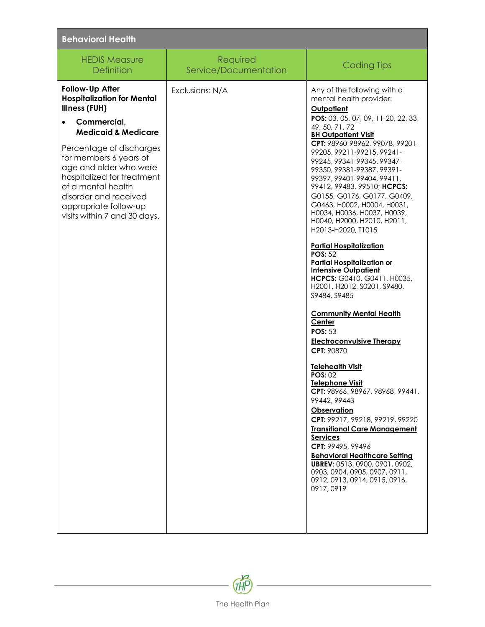| <b>Behavioral Health</b>                                                                                                                                                                                           |                                   |                                                                                                                                                                                                                                                                                                                                                                                                                                                                                                                                                |
|--------------------------------------------------------------------------------------------------------------------------------------------------------------------------------------------------------------------|-----------------------------------|------------------------------------------------------------------------------------------------------------------------------------------------------------------------------------------------------------------------------------------------------------------------------------------------------------------------------------------------------------------------------------------------------------------------------------------------------------------------------------------------------------------------------------------------|
| <b>HEDIS Measure</b><br><b>Definition</b>                                                                                                                                                                          | Required<br>Service/Documentation | <b>Coding Tips</b>                                                                                                                                                                                                                                                                                                                                                                                                                                                                                                                             |
| Follow-Up After<br><b>Hospitalization for Mental</b><br><b>Illness (FUH)</b><br>Commercial,<br><b>Medicaid &amp; Medicare</b>                                                                                      | Exclusions: N/A                   | Any of the following with a<br>mental health provider:<br>Outpatient<br>POS: 03, 05, 07, 09, 11-20, 22, 33,<br>49, 50, 71, 72<br><b>BH Outpatient Visit</b>                                                                                                                                                                                                                                                                                                                                                                                    |
| Percentage of discharges<br>for members 6 years of<br>age and older who were<br>hospitalized for treatment<br>of a mental health<br>disorder and received<br>appropriate follow-up<br>visits within 7 and 30 days. |                                   | CPT: 98960-98962, 99078, 99201-<br>99205, 99211-99215, 99241-<br>99245, 99341-99345, 99347-<br>99350, 99381-99387, 99391-<br>99397, 99401-99404, 99411,<br>99412, 99483, 99510; HCPCS:<br>G0155, G0176, G0177, G0409,<br>G0463, H0002, H0004, H0031,<br>НООЗ4, НООЗ6, НООЗ7, НООЗ9,<br>H0040, H2000, H2010, H2011,<br>H2013-H2020, T1015<br><b>Partial Hospitalization</b><br><b>POS: 52</b><br><b>Partial Hospitalization or</b><br><b>Intensive Outpatient</b><br>HCPCS: G0410, G0411, H0035,<br>H2001, H2012, S0201, S9480,<br>S9484, S9485 |
|                                                                                                                                                                                                                    |                                   | <b>Community Mental Health</b><br>Center<br><b>POS: 53</b><br><b>Electroconvulsive Therapy</b><br>CPT: 90870<br><b>Telehealth Visit</b><br>POS:02<br>Telephone Visit<br>CPT: 98966, 98967, 98968, 99441,<br>99442, 99443<br>Observation<br>CPT: 99217, 99218, 99219, 99220<br><b>Transitional Care Management</b><br><b>Services</b><br>CPT: 99495, 99496<br><b>Behavioral Healthcare Setting</b><br>UBREV: 0513, 0900, 0901, 0902,<br>0903, 0904, 0905, 0907, 0911,<br>0912, 0913, 0914, 0915, 0916,<br>0917,0919                             |

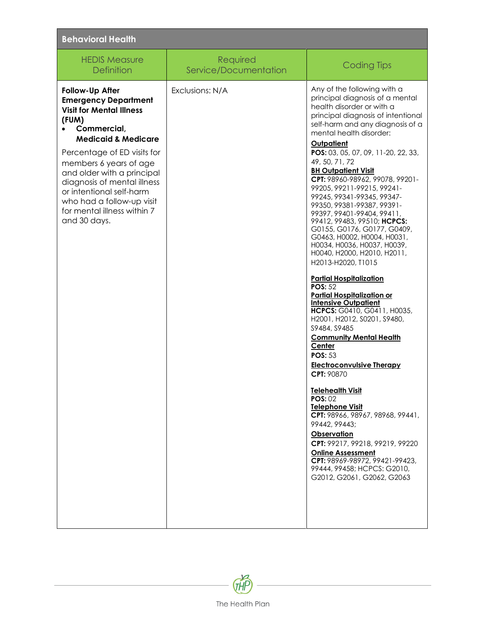| <b>Behavioral Health</b>                                                                                                                                                                                                                                                                                                                                                  |                                   |                                                                                                                                                                                                                                                                                                                                                                                                                                                                                                                                                                                                                                                                                                                                                                                                                                                                                                                                                                                                                                                                                                                                                                                                                                                                                                |
|---------------------------------------------------------------------------------------------------------------------------------------------------------------------------------------------------------------------------------------------------------------------------------------------------------------------------------------------------------------------------|-----------------------------------|------------------------------------------------------------------------------------------------------------------------------------------------------------------------------------------------------------------------------------------------------------------------------------------------------------------------------------------------------------------------------------------------------------------------------------------------------------------------------------------------------------------------------------------------------------------------------------------------------------------------------------------------------------------------------------------------------------------------------------------------------------------------------------------------------------------------------------------------------------------------------------------------------------------------------------------------------------------------------------------------------------------------------------------------------------------------------------------------------------------------------------------------------------------------------------------------------------------------------------------------------------------------------------------------|
| <b>HEDIS Measure</b><br><b>Definition</b>                                                                                                                                                                                                                                                                                                                                 | Required<br>Service/Documentation | <b>Coding Tips</b>                                                                                                                                                                                                                                                                                                                                                                                                                                                                                                                                                                                                                                                                                                                                                                                                                                                                                                                                                                                                                                                                                                                                                                                                                                                                             |
| Follow-Up After<br><b>Emergency Department</b><br><b>Visit for Mental Illness</b><br>(FUM)<br>Commercial,<br><b>Medicaid &amp; Medicare</b><br>Percentage of ED visits for<br>members 6 years of age<br>and older with a principal<br>diagnosis of mental illness<br>or intentional self-harm<br>who had a follow-up visit<br>for mental illness within 7<br>and 30 days. | Exclusions: N/A                   | Any of the following with a<br>principal diagnosis of a mental<br>health disorder or with a<br>principal diagnosis of intentional<br>self-harm and any diagnosis of a<br>mental health disorder:<br><b>Outpatient</b><br>POS: 03, 05, 07, 09, 11-20, 22, 33,<br>49, 50, 71, 72<br><b>BH Outpatient Visit</b><br>CPT: 98960-98962, 99078, 99201-<br>99205, 99211-99215, 99241-<br>99245, 99341-99345, 99347-<br>99350, 99381-99387, 99391-<br>99397, 99401-99404, 99411,<br>99412, 99483, 99510; HCPCS:<br>G0155, G0176, G0177, G0409,<br>G0463, H0002, H0004, H0031,<br>H0034, H0036, H0037, H0039,<br>H0040, H2000, H2010, H2011,<br>H2013-H2020, T1015<br><b>Partial Hospitalization</b><br><b>POS: 52</b><br><b>Partial Hospitalization or</b><br><b>Intensive Outpatient</b><br>HCPCS: G0410, G0411, H0035,<br>H2001, H2012, S0201, S9480,<br>S9484, S9485<br><b>Community Mental Health</b><br>Center<br><b>POS: 53</b><br><b>Electroconvulsive Therapy</b><br>CPT: 90870<br><b>Telehealth Visit</b><br><b>POS: 02</b><br><b>Telephone Visit</b><br>CPT: 98966, 98967, 98968, 99441,<br>99442, 99443;<br><b>Observation</b><br>CPT: 99217, 99218, 99219, 99220<br><b>Online Assessment</b><br>CPT: 98969-98972, 99421-99423,<br>99444, 99458; HCPCS: G2010,<br>G2012, G2061, G2062, G2063 |

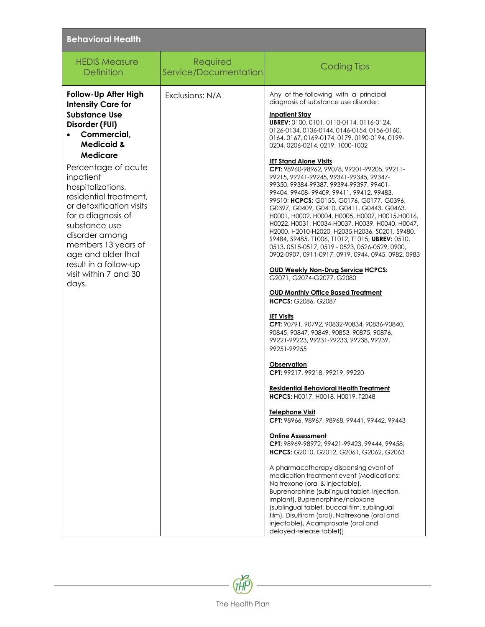| <b>Behavioral Health</b>                                                                                                                                                                                                                                                                                                                                                                                                               |                                   |                                                                                                                                                                                                                                                                                                                                                                                                                                                                                                                                                                                                                                                                                                                                                                                                                                                                                                                                                                                                                                                                                                                                                                                                                                                                                                                                                                                                                                                                                                                                                                                                                                                                                                                                                                                                                                                                                                                                                                                                      |  |
|----------------------------------------------------------------------------------------------------------------------------------------------------------------------------------------------------------------------------------------------------------------------------------------------------------------------------------------------------------------------------------------------------------------------------------------|-----------------------------------|------------------------------------------------------------------------------------------------------------------------------------------------------------------------------------------------------------------------------------------------------------------------------------------------------------------------------------------------------------------------------------------------------------------------------------------------------------------------------------------------------------------------------------------------------------------------------------------------------------------------------------------------------------------------------------------------------------------------------------------------------------------------------------------------------------------------------------------------------------------------------------------------------------------------------------------------------------------------------------------------------------------------------------------------------------------------------------------------------------------------------------------------------------------------------------------------------------------------------------------------------------------------------------------------------------------------------------------------------------------------------------------------------------------------------------------------------------------------------------------------------------------------------------------------------------------------------------------------------------------------------------------------------------------------------------------------------------------------------------------------------------------------------------------------------------------------------------------------------------------------------------------------------------------------------------------------------------------------------------------------------|--|
| <b>HEDIS Measure</b><br><b>Definition</b>                                                                                                                                                                                                                                                                                                                                                                                              | Required<br>Service/Documentation | <b>Coding Tips</b>                                                                                                                                                                                                                                                                                                                                                                                                                                                                                                                                                                                                                                                                                                                                                                                                                                                                                                                                                                                                                                                                                                                                                                                                                                                                                                                                                                                                                                                                                                                                                                                                                                                                                                                                                                                                                                                                                                                                                                                   |  |
| Follow-Up After High<br><b>Intensity Care for</b><br><b>Substance Use</b><br>Disorder (FUI)<br>Commercial,<br><b>Medicaid &amp;</b><br><b>Medicare</b><br>Percentage of acute<br>inpatient<br>hospitalizations,<br>residential treatment,<br>or detoxification visits<br>for a diagnosis of<br>substance use<br>disorder among<br>members 13 years of<br>age and older that<br>result in a follow-up<br>visit within 7 and 30<br>days. | Exclusions: N/A                   | Any of the following with a principal<br>diagnosis of substance use disorder:<br><b>Inpatient Stav</b><br>UBREV: 0100, 0101, 0110-0114, 0116-0124,<br>0126-0134, 0136-0144, 0146-0154, 0156-0160,<br>0164, 0167, 0169-0174, 0179, 0190-0194, 0199-<br>0204, 0206-0214, 0219, 1000-1002<br><b>IET Stand Alone Visits</b><br>CPT: 98960-98962, 99078, 99201-99205, 99211-<br>99215, 99241-99245, 99341-99345, 99347-<br>99350, 99384-99387, 99394-99397, 99401-<br>99404, 99408-99409, 99411, 99412, 99483,<br>99510; <b>HCPCS:</b> G0155, G0176, G0177, G0396,<br>G0397, G0409, G0410, G0411, G0443, G0463,<br>H0001, H0002, H0004, H0005, H0007, H0015, H0016,<br>H0022, H0031, H0034-H0037, H0039, H0040, H0047,<br>H2000, H2010-H2020, H2035, H2036, S0201, S9480,<br>\$9484, \$9485, T1006, T1012, T1015; UBREV: 0510,<br>0513, 0515-0517, 0519 - 0523, 0526-0529, 0900,<br>0902-0907, 0911-0917, 0919, 0944, 0945, 0982, 0983<br><b>OUD Weekly Non-Drug Service HCPCS:</b><br>G2071, G2074-G2077, G2080<br><b>OUD Monthly Office Based Treatment</b><br><b>HCPCS: G2086, G2087</b><br><b>IET Visits</b><br>CPT: 90791, 90792, 90832-90834, 90836-90840,<br>90845, 90847, 90849, 90853, 90875, 90876,<br>99221-99223, 99231-99233, 99238, 99239,<br>99251-99255<br>Observation<br>CPT: 99217, 99218, 99219, 99220<br><b>Residential Behavioral Health Treatment</b><br><b>HCPCS: H0017, H0018, H0019, T2048</b><br><b>Telephone Visit</b><br>CPT: 98966, 98967, 98968, 99441, 99442, 99443<br><b>Online Assessment</b><br>CPT: 98969-98972, 99421-99423, 99444, 99458;<br>HCPCS: G2010, G2012, G2061, G2062, G2063<br>A pharmacotherapy dispensing event of<br>medication treatment event [Medications:<br>Naltrexone (oral & injectable),<br>Buprenorphine (sublingual tablet, injection,<br>implant), Buprenorphine/naloxone<br>(sublingual tablet, buccal film, sublingual<br>film), Disulfiram (oral), Naltrexone (oral and<br>injectable), Acamprosate (oral and<br>delayed-release tablet)] |  |

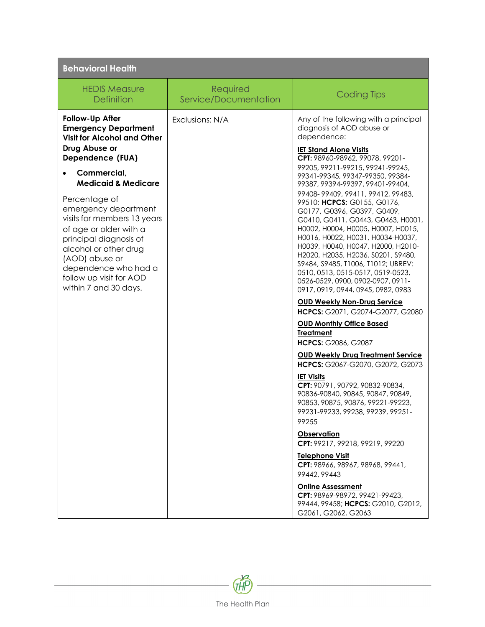| <b>Behavioral Health</b>                                                                                                                                                                                                                                                                         |                                   |                                                                                                                                                                                                                                                                                                                                                                                                                                                                                                                                                                                                                                                                                                                                                                                                                                                                                                                                                                                                                                                                                                                                                                                                                                                               |  |
|--------------------------------------------------------------------------------------------------------------------------------------------------------------------------------------------------------------------------------------------------------------------------------------------------|-----------------------------------|---------------------------------------------------------------------------------------------------------------------------------------------------------------------------------------------------------------------------------------------------------------------------------------------------------------------------------------------------------------------------------------------------------------------------------------------------------------------------------------------------------------------------------------------------------------------------------------------------------------------------------------------------------------------------------------------------------------------------------------------------------------------------------------------------------------------------------------------------------------------------------------------------------------------------------------------------------------------------------------------------------------------------------------------------------------------------------------------------------------------------------------------------------------------------------------------------------------------------------------------------------------|--|
| <b>HEDIS Measure</b><br><b>Definition</b>                                                                                                                                                                                                                                                        | Required<br>Service/Documentation | <b>Coding Tips</b>                                                                                                                                                                                                                                                                                                                                                                                                                                                                                                                                                                                                                                                                                                                                                                                                                                                                                                                                                                                                                                                                                                                                                                                                                                            |  |
| Follow-Up After<br><b>Emergency Department</b><br><b>Visit for Alcohol and Other</b><br>Drug Abuse or<br>Dependence (FUA)                                                                                                                                                                        | Exclusions: N/A                   | Any of the following with a principal<br>diagnosis of AOD abuse or<br>dependence:<br><b>IET Stand Alone Visits</b><br>CPT: 98960-98962, 99078, 99201-                                                                                                                                                                                                                                                                                                                                                                                                                                                                                                                                                                                                                                                                                                                                                                                                                                                                                                                                                                                                                                                                                                         |  |
| Commercial,<br><b>Medicaid &amp; Medicare</b><br>Percentage of<br>emergency department<br>visits for members 13 years<br>of age or older with a<br>principal diagnosis of<br>alcohol or other drug<br>(AOD) abuse or<br>dependence who had a<br>follow up visit for AOD<br>within 7 and 30 days. |                                   | 99205, 99211-99215, 99241-99245,<br>99341-99345, 99347-99350, 99384-<br>99387, 99394-99397, 99401-99404,<br>99408-99409, 99411, 99412, 99483,<br>99510; HCPCS: G0155, G0176,<br>G0177, G0396, G0397, G0409,<br>G0410, G0411, G0443, G0463, H0001,<br>НООО2, НООО4, НООО5, НООО7, НОО15,<br>H0016, H0022, H0031, H0034-H0037,<br>H0039, H0040, H0047, H2000, H2010-<br>H2020, H2035, H2036, S0201, S9480,<br>S9484, S9485, T1006, T1012; UBREV:<br>0510, 0513, 0515-0517, 0519-0523,<br>0526-0529, 0900, 0902-0907, 0911-<br>0917, 0919, 0944, 0945, 0982, 0983<br><b>OUD Weekly Non-Drug Service</b><br>HCPCS: G2071, G2074-G2077, G2080<br><b>OUD Monthly Office Based</b><br><b>Treatment</b><br><b>HCPCS: G2086, G2087</b><br><b>OUD Weekly Drug Treatment Service</b><br>HCPCS: G2067-G2070, G2072, G2073<br><b>IET Visits</b><br>CPT: 90791, 90792, 90832-90834,<br>90836-90840, 90845, 90847, 90849,<br>90853, 90875, 90876, 99221-99223,<br>99231-99233, 99238, 99239, 99251-<br>99255<br><b>Observation</b><br>CPT: 99217, 99218, 99219, 99220<br><b>Telephone Visit</b><br>CPT: 98966, 98967, 98968, 99441,<br>99442, 99443<br><b>Online Assessment</b><br>CPT: 98969-98972, 99421-99423,<br>99444, 99458; HCPCS: G2010, G2012,<br>G2061 G2062 G2063 |  |

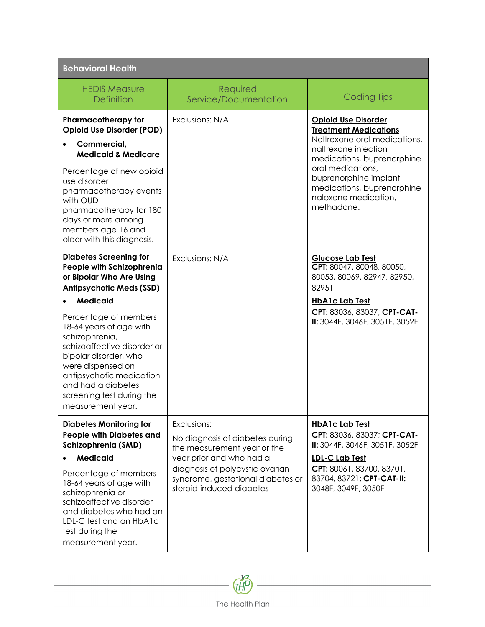| <b>Behavioral Health</b>                                                                                                                                                                                                                                                                                                                                           |                                                                                                                                                                                                               |                                                                                                                                                                                                                                                                    |
|--------------------------------------------------------------------------------------------------------------------------------------------------------------------------------------------------------------------------------------------------------------------------------------------------------------------------------------------------------------------|---------------------------------------------------------------------------------------------------------------------------------------------------------------------------------------------------------------|--------------------------------------------------------------------------------------------------------------------------------------------------------------------------------------------------------------------------------------------------------------------|
| <b>HEDIS Measure</b><br><b>Definition</b>                                                                                                                                                                                                                                                                                                                          | Required<br>Service/Documentation                                                                                                                                                                             | <b>Coding Tips</b>                                                                                                                                                                                                                                                 |
| <b>Pharmacotherapy for</b><br><b>Opioid Use Disorder (POD)</b><br>Commercial,<br><b>Medicaid &amp; Medicare</b><br>Percentage of new opioid<br>use disorder<br>pharmacotherapy events<br>with OUD<br>pharmacotherapy for 180<br>days or more among<br>members age 16 and                                                                                           | Exclusions: N/A                                                                                                                                                                                               | <b>Opioid Use Disorder</b><br><b>Treatment Medications</b><br>Naltrexone oral medications,<br>naltrexone injection<br>medications, buprenorphine<br>oral medications,<br>buprenorphine implant<br>medications, buprenorphine<br>naloxone medication,<br>methadone. |
| older with this diagnosis.<br><b>Diabetes Screening for</b>                                                                                                                                                                                                                                                                                                        | Exclusions: N/A                                                                                                                                                                                               | <b>Glucose Lab Test</b>                                                                                                                                                                                                                                            |
| People with Schizophrenia<br>or Bipolar Who Are Using<br><b>Antipsychotic Meds (SSD)</b><br><b>Medicaid</b><br>Percentage of members<br>18-64 years of age with<br>schizophrenia,<br>schizoaffective disorder or<br>bipolar disorder, who<br>were dispensed on<br>antipsychotic medication<br>and had a diabetes<br>screening test during the<br>measurement year. |                                                                                                                                                                                                               | CPT: 80047, 80048, 80050,<br>80053, 80069, 82947, 82950,<br>82951<br><b>HbA1c Lab Test</b><br>CPT: 83036, 83037; CPT-CAT-<br>II: 3044F, 3046F, 3051F, 3052F                                                                                                        |
| <b>Diabetes Monitoring for</b><br>People with Diabetes and<br>Schizophrenia (SMD)<br><b>Medicaid</b><br>Percentage of members<br>18-64 years of age with<br>schizophrenia or<br>schizoaffective disorder<br>and diabetes who had an<br>LDL-C test and an HbA1c<br>test during the<br>measurement year.                                                             | Exclusions:<br>No diagnosis of diabetes during<br>the measurement year or the<br>year prior and who had a<br>diagnosis of polycystic ovarian<br>syndrome, gestational diabetes or<br>steroid-induced diabetes | <b>HbA1c Lab Test</b><br>CPT: 83036, 83037; CPT-CAT-<br>II: 3044F, 3046F, 3051F, 3052F<br><b>LDL-C Lab Test</b><br>CPT: 80061, 83700, 83701,<br>83704, 83721; CPT-CAT-II:<br>3048F, 3049F, 3050F                                                                   |

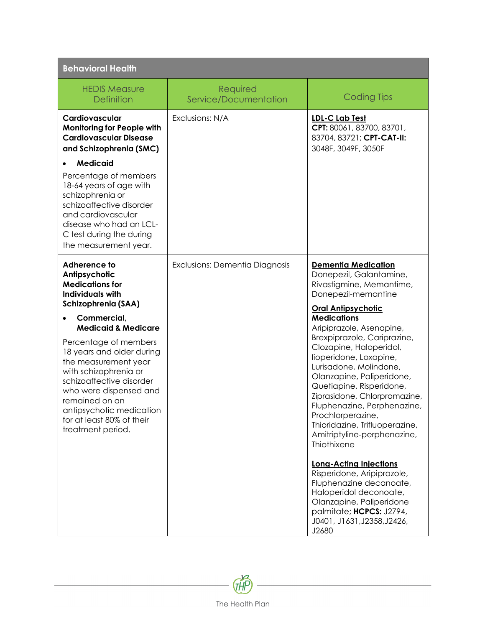| <b>Behavioral Health</b>                                                                                                                                                                                                                                                                                   |                                   |                                                                                                                                                                                                                                                                                                                                                                                                                            |
|------------------------------------------------------------------------------------------------------------------------------------------------------------------------------------------------------------------------------------------------------------------------------------------------------------|-----------------------------------|----------------------------------------------------------------------------------------------------------------------------------------------------------------------------------------------------------------------------------------------------------------------------------------------------------------------------------------------------------------------------------------------------------------------------|
| <b>HEDIS Measure</b><br><b>Definition</b>                                                                                                                                                                                                                                                                  | Required<br>Service/Documentation | <b>Coding Tips</b>                                                                                                                                                                                                                                                                                                                                                                                                         |
| Cardiovascular<br><b>Monitoring for People with</b><br><b>Cardiovascular Disease</b><br>and Schizophrenia (SMC)                                                                                                                                                                                            | Exclusions: N/A                   | <b>LDL-C Lab Test</b><br>CPT: 80061, 83700, 83701,<br>83704, 83721; CPT-CAT-II:<br>3048F, 3049F, 3050F                                                                                                                                                                                                                                                                                                                     |
| <b>Medicaid</b><br>Percentage of members<br>18-64 years of age with<br>schizophrenia or<br>schizoaffective disorder<br>and cardiovascular<br>disease who had an LCL-<br>C test during the during<br>the measurement year.                                                                                  |                                   |                                                                                                                                                                                                                                                                                                                                                                                                                            |
| Adherence to<br>Antipsychotic<br><b>Medications for</b><br><b>Individuals with</b><br>Schizophrenia (SAA)                                                                                                                                                                                                  | Exclusions: Dementia Diagnosis    | <b>Dementia Medication</b><br>Donepezil, Galantamine,<br>Rivastigmine, Memantime,<br>Donepezil-memantine<br><b>Oral Antipsychotic</b>                                                                                                                                                                                                                                                                                      |
| Commercial,<br><b>Medicaid &amp; Medicare</b><br>Percentage of members<br>18 years and older during<br>the measurement year<br>with schizophrenia or<br>schizoaffective disorder<br>who were dispensed and<br>remained on an<br>antipsychotic medication<br>for at least 80% of their<br>treatment period. |                                   | <b>Medications</b><br>Aripiprazole, Asenapine,<br>Brexpiprazole, Cariprazine,<br>Clozapine, Haloperidol,<br>lioperidone, Loxapine,<br>Lurisadone, Molindone,<br>Olanzapine, Paliperidone,<br>Quetiapine, Risperidone,<br>Ziprasidone, Chlorpromazine,<br>Fluphenazine, Perphenazine,<br>Prochlorperazine,<br>Thioridazine, Trifluoperazine,<br>Amitriptyline-perphenazine,<br>Thiothixene<br><b>Long-Acting Injections</b> |
|                                                                                                                                                                                                                                                                                                            |                                   | Risperidone, Aripiprazole,<br>Fluphenazine decanoate,<br>Haloperidol deconoate,<br>Olanzapine, Paliperidone<br>palmitate; HCPCS: J2794,<br>J0401, J1631, J2358, J2426,<br>J2680                                                                                                                                                                                                                                            |

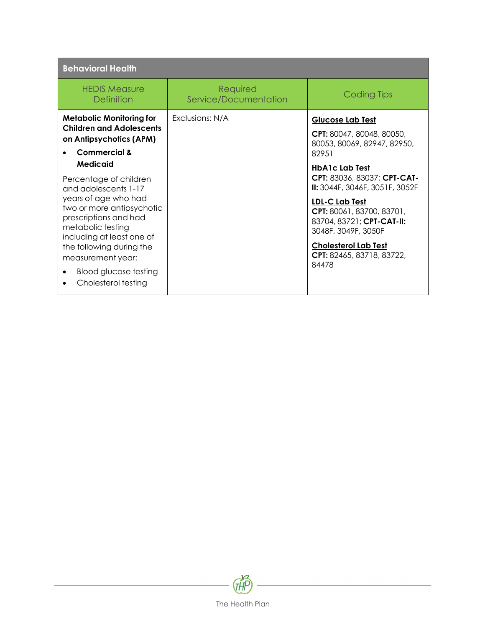| <b>Behavioral Health</b>                                                                                                                                                                                                                                                                    |                                   |                                                                                                                                                                                                                                                                       |
|---------------------------------------------------------------------------------------------------------------------------------------------------------------------------------------------------------------------------------------------------------------------------------------------|-----------------------------------|-----------------------------------------------------------------------------------------------------------------------------------------------------------------------------------------------------------------------------------------------------------------------|
| <b>HEDIS Measure</b><br>Definition                                                                                                                                                                                                                                                          | Required<br>Service/Documentation | Coding Tips                                                                                                                                                                                                                                                           |
| <b>Metabolic Monitoring for</b><br><b>Children and Adolescents</b><br>on Antipsychotics (APM)<br>Commercial &                                                                                                                                                                               | Exclusions: N/A                   | <b>Glucose Lab Test</b><br><b>CPT:</b> 80047, 80048, 80050,<br>80053, 80069, 82947, 82950,<br>82951                                                                                                                                                                   |
| Medicaid<br>Percentage of children<br>and adolescents 1-17<br>years of age who had<br>two or more antipsychotic<br>prescriptions and had<br>metabolic testing<br>including at least one of<br>the following during the<br>measurement year:<br>Blood glucose testing<br>Cholesterol testing |                                   | <b>HbA1c Lab Test</b><br>CPT: 83036, 83037; CPT-CAT-<br>II: 3044F, 3046F, 3051F, 3052F<br><b>LDL-C Lab Test</b><br>CPT: 80061, 83700, 83701,<br>83704, 83721; CPT-CAT-II:<br>3048F, 3049F, 3050F<br><b>Cholesterol Lab Test</b><br>CPT: 82465, 83718, 83722,<br>84478 |

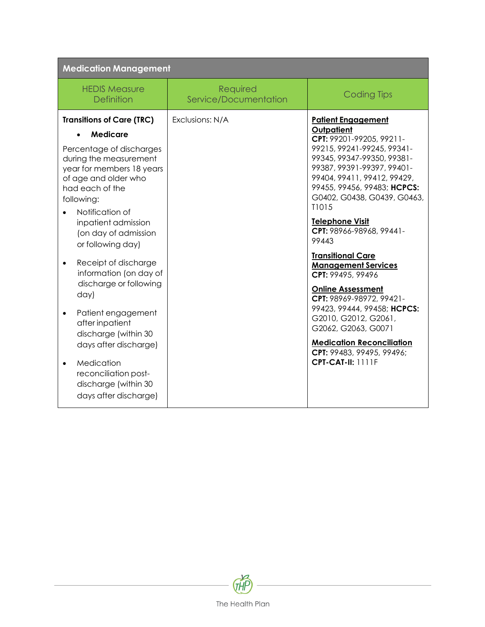| <b>Medication Management</b>                                                                                                                                                                                                                                                                                                                                                                                                                                                                                                                                                                       |                                   |                                                                                                                                                                                                                                                                                                                                                                                                                                                                                                                                                                                                                                               |
|----------------------------------------------------------------------------------------------------------------------------------------------------------------------------------------------------------------------------------------------------------------------------------------------------------------------------------------------------------------------------------------------------------------------------------------------------------------------------------------------------------------------------------------------------------------------------------------------------|-----------------------------------|-----------------------------------------------------------------------------------------------------------------------------------------------------------------------------------------------------------------------------------------------------------------------------------------------------------------------------------------------------------------------------------------------------------------------------------------------------------------------------------------------------------------------------------------------------------------------------------------------------------------------------------------------|
| <b>HEDIS Measure</b><br><b>Definition</b>                                                                                                                                                                                                                                                                                                                                                                                                                                                                                                                                                          | Required<br>Service/Documentation | <b>Coding Tips</b>                                                                                                                                                                                                                                                                                                                                                                                                                                                                                                                                                                                                                            |
| <b>Transitions of Care (TRC)</b><br><b>Medicare</b><br>Percentage of discharges<br>during the measurement<br>year for members 18 years<br>of age and older who<br>had each of the<br>following:<br>Notification of<br>inpatient admission<br>(on day of admission<br>or following day)<br>Receipt of discharge<br>$\bullet$<br>information (on day of<br>discharge or following<br>day)<br>Patient engagement<br>$\bullet$<br>after inpatient<br>discharge (within 30<br>days after discharge)<br>Medication<br>$\bullet$<br>reconciliation post-<br>discharge (within 30<br>days after discharge) | Exclusions: N/A                   | <b>Patient Engagement</b><br>Outpatient<br>CPT: 99201-99205, 99211-<br>99215, 99241-99245, 99341-<br>99345, 99347-99350, 99381-<br>99387, 99391-99397, 99401-<br>99404, 99411, 99412, 99429,<br>99455, 99456, 99483; HCPCS:<br>G0402, G0438, G0439, G0463,<br>T1015<br>Telephone Visit<br>CPT: 98966-98968, 99441-<br>99443<br><b>Transitional Care</b><br><b>Management Services</b><br>CPT: 99495, 99496<br><b>Online Assessment</b><br>CPT: 98969-98972, 99421-<br>99423, 99444, 99458; HCPCS:<br>G2010, G2012, G2061,<br>G2062, G2063, G0071<br><b>Medication Reconciliation</b><br>CPT: 99483, 99495, 99496;<br><b>CPT-CAT-II: 1111F</b> |

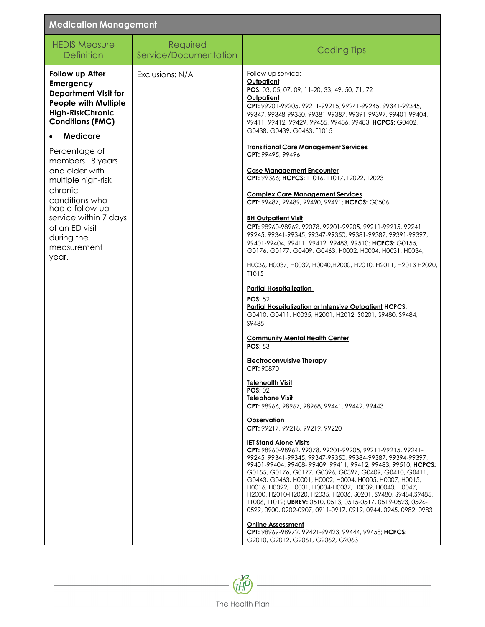| <b>Medication Management</b>                                                                                                                                                                                                                                                                                                                                                      |                                   |                                                                                                                                                                                                                                                                                                                                                                                                                                                                                                                                                                                                                                                                                                                                                                                                                                                                                                                                                                                                                                                                                                                                                                                                                            |  |
|-----------------------------------------------------------------------------------------------------------------------------------------------------------------------------------------------------------------------------------------------------------------------------------------------------------------------------------------------------------------------------------|-----------------------------------|----------------------------------------------------------------------------------------------------------------------------------------------------------------------------------------------------------------------------------------------------------------------------------------------------------------------------------------------------------------------------------------------------------------------------------------------------------------------------------------------------------------------------------------------------------------------------------------------------------------------------------------------------------------------------------------------------------------------------------------------------------------------------------------------------------------------------------------------------------------------------------------------------------------------------------------------------------------------------------------------------------------------------------------------------------------------------------------------------------------------------------------------------------------------------------------------------------------------------|--|
| <b>HEDIS Measure</b><br><b>Definition</b>                                                                                                                                                                                                                                                                                                                                         | Required<br>Service/Documentation | <b>Coding Tips</b>                                                                                                                                                                                                                                                                                                                                                                                                                                                                                                                                                                                                                                                                                                                                                                                                                                                                                                                                                                                                                                                                                                                                                                                                         |  |
| Follow up After<br>Emergency<br><b>Department Visit for</b><br><b>People with Multiple</b><br><b>High-RiskChronic</b><br><b>Conditions (FMC)</b><br><b>Medicare</b><br>Percentage of<br>members 18 years<br>and older with<br>multiple high-risk<br>chronic<br>conditions who<br>had a follow-up<br>service within 7 days<br>of an ED visit<br>during the<br>measurement<br>year. | Exclusions: N/A                   | Follow-up service:<br><b>Outpatient</b><br>POS: 03, 05, 07, 09, 11-20, 33, 49, 50, 71, 72<br>Outpatient<br>CPT: 99201-99205, 99211-99215, 99241-99245, 99341-99345,<br>99347, 99348-99350, 99381-99387, 99391-99397, 99401-99404,<br>99411, 99412, 99429, 99455, 99456, 99483; HCPCS: G0402,<br>G0438, G0439, G0463, T1015<br><b>Transitional Care Management Services</b><br>CPT: 99495, 99496<br><b>Case Management Encounter</b><br>CPT: 99366; HCPCS: T1016, T1017, T2022, T2023<br><b>Complex Care Management Services</b><br>CPT: 99487, 99489, 99490, 99491; HCPCS: G0506<br><b>BH Outpatient Visit</b><br>CPT: 98960-98962, 99078, 99201-99205, 99211-99215, 99241<br>99245, 99341-99345, 99347-99350, 99381-99387, 99391-99397,<br>99401-99404, 99411, 99412, 99483, 99510; HCPCS: G0155,<br>G0176, G0177, G0409, G0463, H0002, H0004, H0031, H0034,<br>H0036, H0037, H0039, H0040, H2000, H2010, H2011, H2013 H2020,<br>T1015<br><b>Partial Hospitalization</b><br>POS: $52$<br><b>Partial Hospitalization or Intensive Outpatient HCPCS:</b><br>G0410, G0411, H0035, H2001, H2012, S0201, S9480, S9484,<br>S9485<br><b>Community Mental Health Center</b><br><b>POS: 53</b><br><b>Electroconvulsive Therapy</b> |  |
|                                                                                                                                                                                                                                                                                                                                                                                   |                                   | <b>CPT: 908/0</b><br><b>Telehealth Visit</b><br>POS:02<br><b>Telephone Visit</b><br>CPT: 98966, 98967, 98968, 99441, 99442, 99443<br>Observation<br>CPT: 99217, 99218, 99219, 99220<br><b>IET Stand Alone Visits</b><br>CPT: 98960-98962, 99078, 99201-99205, 99211-99215, 99241-<br>99245, 99341-99345, 99347-99350, 99384-99387, 99394-99397,<br>99401-99404, 99408-99409, 99411, 99412, 99483, 99510; HCPCS:<br>G0155, G0176, G0177, G0396, G0397, G0409, G0410, G0411,<br>G0443, G0463, H0001, H0002, H0004, H0005, H0007, H0015,<br>НОО16, НОО22, НООЗ1, НООЗ4-НООЗ7, НООЗ9, НОО40, НОО47,<br>H2000, H2010-H2020, H2035, H2036, S0201, S9480, S9484, S9485,<br>T1006, T1012; UBREV: 0510, 0513, 0515-0517, 0519-0523, 0526-<br>0529, 0900, 0902-0907, 0911-0917, 0919, 0944, 0945, 0982, 0983<br><b>Online Assessment</b><br>CPT: 98969-98972, 99421-99423, 99444, 99458; HCPCS:<br>G2010, G2012, G2061, G2062, G2063                                                                                                                                                                                                                                                                                                 |  |

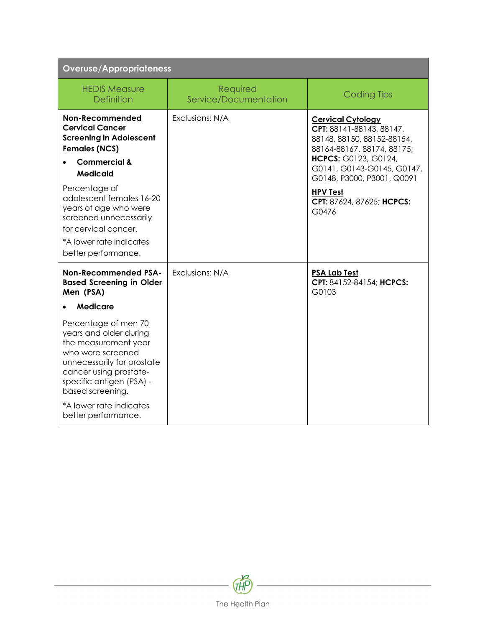| <b>Overuse/Appropriateness</b>                                                                                                                                                                                                                        |                                   |                                                                                                                                                                                                      |
|-------------------------------------------------------------------------------------------------------------------------------------------------------------------------------------------------------------------------------------------------------|-----------------------------------|------------------------------------------------------------------------------------------------------------------------------------------------------------------------------------------------------|
| <b>HEDIS Measure</b><br><b>Definition</b>                                                                                                                                                                                                             | Required<br>Service/Documentation | <b>Coding Tips</b>                                                                                                                                                                                   |
| Non-Recommended<br><b>Cervical Cancer</b><br><b>Screening in Adolescent</b><br><b>Females (NCS)</b><br><b>Commercial &amp;</b><br><b>Medicaid</b><br>Percentage of                                                                                    | Exclusions: N/A                   | <b>Cervical Cytology</b><br>CPT: 88141-88143, 88147,<br>88148, 88150, 88152-88154,<br>88164-88167, 88174, 88175;<br>HCPCS: G0123, G0124,<br>G0141, G0143-G0145, G0147,<br>G0148, P3000, P3001, Q0091 |
| adolescent females 16-20<br>years of age who were<br>screened unnecessarily<br>for cervical cancer.<br>*A lower rate indicates<br>better performance.                                                                                                 |                                   | <b>HPV Test</b><br>CPT: 87624, 87625; HCPCS:<br>G0476                                                                                                                                                |
| <b>Non-Recommended PSA-</b><br><b>Based Screening in Older</b><br>Men (PSA)<br><b>Medicare</b>                                                                                                                                                        | Exclusions: N/A                   | <b>PSA Lab Test</b><br>CPT: 84152-84154; HCPCS:<br>G0103                                                                                                                                             |
| Percentage of men 70<br>years and older during<br>the measurement year<br>who were screened<br>unnecessarily for prostate<br>cancer using prostate-<br>specific antigen (PSA) -<br>based screening.<br>*A lower rate indicates<br>better performance. |                                   |                                                                                                                                                                                                      |

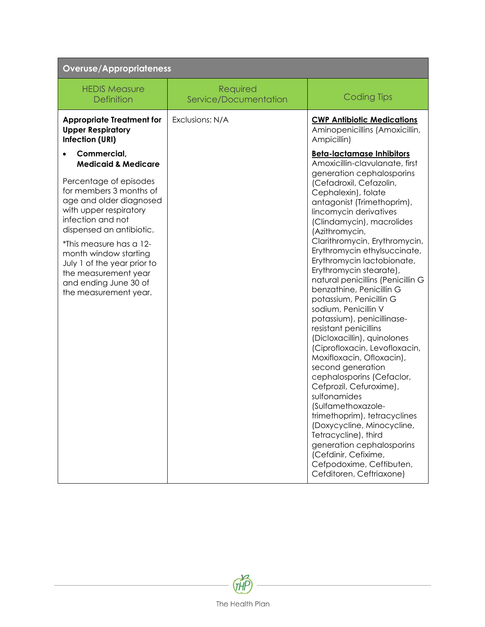| <b>Overuse/Appropriateness</b>                                                                                                                                                                                                                                                                                       |                                   |                                                                                                                                                                                                                                                                                                                                                                                                                                                                                                                                                                                                                                                                                                                                                                                                                                                                                                            |
|----------------------------------------------------------------------------------------------------------------------------------------------------------------------------------------------------------------------------------------------------------------------------------------------------------------------|-----------------------------------|------------------------------------------------------------------------------------------------------------------------------------------------------------------------------------------------------------------------------------------------------------------------------------------------------------------------------------------------------------------------------------------------------------------------------------------------------------------------------------------------------------------------------------------------------------------------------------------------------------------------------------------------------------------------------------------------------------------------------------------------------------------------------------------------------------------------------------------------------------------------------------------------------------|
| <b>HEDIS Measure</b><br><b>Definition</b>                                                                                                                                                                                                                                                                            | Required<br>Service/Documentation | <b>Coding Tips</b>                                                                                                                                                                                                                                                                                                                                                                                                                                                                                                                                                                                                                                                                                                                                                                                                                                                                                         |
| <b>Appropriate Treatment for</b><br><b>Upper Respiratory</b><br>Infection (URI)                                                                                                                                                                                                                                      | Exclusions: N/A                   | <b>CWP Antibiotic Medications</b><br>Aminopenicillins (Amoxicillin,<br>Ampicillin)                                                                                                                                                                                                                                                                                                                                                                                                                                                                                                                                                                                                                                                                                                                                                                                                                         |
| Commercial,<br><b>Medicaid &amp; Medicare</b>                                                                                                                                                                                                                                                                        |                                   | <b>Beta-lactamase Inhibitors</b><br>Amoxicillin-clavulanate, first                                                                                                                                                                                                                                                                                                                                                                                                                                                                                                                                                                                                                                                                                                                                                                                                                                         |
| Percentage of episodes<br>for members 3 months of<br>age and older diagnosed<br>with upper respiratory<br>infection and not<br>dispensed an antibiotic.<br>*This measure has a 12-<br>month window starting<br>July 1 of the year prior to<br>the measurement year<br>and ending June 30 of<br>the measurement year. |                                   | generation cephalosporins<br>(Cefadroxil, Cefazolin,<br>Cephalexin), folate<br>antagonist (Trimethoprim),<br>lincomycin derivatives<br>(Clindamycin), macrolides<br>(Azithromycin,<br>Clarithromycin, Erythromycin,<br>Erythromycin ethylsuccinate,<br>Erythromycin lactobionate,<br>Erythromycin stearate),<br>natural penicillins (Penicillin G<br>benzathine, Penicillin G<br>potassium, Penicillin G<br>sodium, Penicillin V<br>potassium), penicillinase-<br>resistant penicillins<br>(Dicloxacillin), quinolones<br>(Ciprofloxacin, Levofloxacin,<br>Moxifloxacin, Ofloxacin),<br>second generation<br>cephalosporins (Cefaclor,<br>Cefprozil, Cefuroxime),<br>sulfonamides<br>(Sulfamethoxazole-<br>trimethoprim), tetracyclines<br>(Doxycycline, Minocycline,<br>Tetracycline), third<br>generation cephalosporins<br>(Cefdinir, Cefixime,<br>Cefpodoxime, Ceftibuten,<br>Cefditoren, Ceftriaxone) |

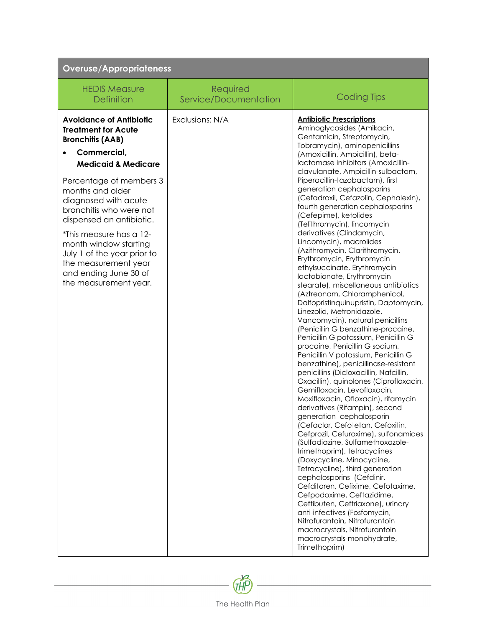| <b>Overuse/Appropriateness</b>                                                                                                                                                                                                                                                                                                                                                                                                                   |                                   |                                                                                                                                                                                                                                                                                                                                                                                                                                                                                                                                                                                                                                                                                                                                                                                                                                                                                                                                                                                                                         |
|--------------------------------------------------------------------------------------------------------------------------------------------------------------------------------------------------------------------------------------------------------------------------------------------------------------------------------------------------------------------------------------------------------------------------------------------------|-----------------------------------|-------------------------------------------------------------------------------------------------------------------------------------------------------------------------------------------------------------------------------------------------------------------------------------------------------------------------------------------------------------------------------------------------------------------------------------------------------------------------------------------------------------------------------------------------------------------------------------------------------------------------------------------------------------------------------------------------------------------------------------------------------------------------------------------------------------------------------------------------------------------------------------------------------------------------------------------------------------------------------------------------------------------------|
| <b>HEDIS Measure</b><br><b>Definition</b>                                                                                                                                                                                                                                                                                                                                                                                                        | Required<br>Service/Documentation | <b>Coding Tips</b>                                                                                                                                                                                                                                                                                                                                                                                                                                                                                                                                                                                                                                                                                                                                                                                                                                                                                                                                                                                                      |
| <b>Avoidance of Antibiotic</b><br><b>Treatment for Acute</b><br><b>Bronchitis (AAB)</b><br>Commercial,<br>$\bullet$<br><b>Medicaid &amp; Medicare</b><br>Percentage of members 3<br>months and older<br>diagnosed with acute<br>bronchitis who were not<br>dispensed an antibiotic.<br>*This measure has a 12-<br>month window starting<br>July 1 of the year prior to<br>the measurement year<br>and ending June 30 of<br>the measurement year. | Exclusions: N/A                   | <b>Antibiotic Prescriptions</b><br>Aminoglycosides (Amikacin,<br>Gentamicin, Streptomycin,<br>Tobramycin), aminopenicillins<br>(Amoxicillin, Ampicillin), beta-<br>lactamase inhibitors (Amoxicillin-<br>clavulanate, Ampicillin-sulbactam,<br>Piperacillin-tazobactam), first<br>generation cephalosporins<br>(Cefadroxil, Cefazolin, Cephalexin),<br>fourth generation cephalosporins<br>(Cefepime), ketolides<br>(Telithromycin), lincomycin<br>derivatives (Clindamycin,<br>Lincomycin), macrolides<br>(Azithromycin, Clarithromycin,<br>Erythromycin, Erythromycin<br>ethylsuccinate, Erythromycin<br>lactobionate, Erythromycin<br>stearate), miscellaneous antibiotics<br>(Aztreonam, Chloramphenicol,<br>Dalfopristinquinupristin, Daptomycin,<br>Linezolid, Metronidazole,<br>Vancomycin), natural penicillins<br>(Penicillin G benzathine-procaine,<br>Penicillin G potassium, Penicillin G<br>procaine, Penicillin G sodium,<br>Penicillin V potassium, Penicillin G<br>benzathine), penicillinase-resistant |
|                                                                                                                                                                                                                                                                                                                                                                                                                                                  |                                   | penicillins (Dicloxacillin, Nafcillin,<br>Oxacillin), quinolones (Ciprofloxacin,<br>Gemifloxacin, Levofloxacin,<br>Moxifloxacin, Ofloxacin), rifamycin<br>derivatives (Rifampin), second<br>generation cephalosporin<br>(Cefaclor, Cefotetan, Cefoxitin,<br>Cefprozil, Cefuroxime), sulfonamides<br>(Sulfadiazine, Sulfamethoxazole-<br>trimethoprim), tetracyclines<br>(Doxycycline, Minocycline,<br>Tetracycline), third generation<br>cephalosporins (Cefdinir,<br>Cefditoren, Cefixime, Cefotaxime,<br>Cefpodoxime, Ceftazidime,<br>Ceftibuten, Ceftriaxone), urinary<br>anti-infectives (Fosfomycin,<br>Nitrofurantoin, Nitrofurantoin<br>macrocrystals, Nitrofurantoin<br>macrocrystals-monohydrate,<br>Trimethoprim)                                                                                                                                                                                                                                                                                             |

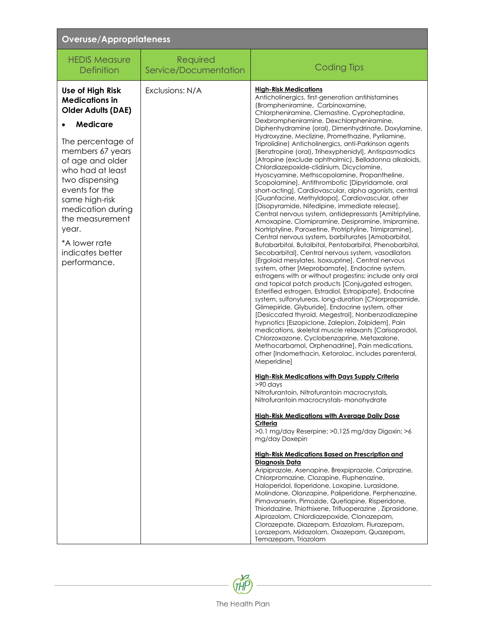| <b>Overuse/Appropriateness</b>                                                                                                                                                                                                                                                                                                         |                                   |                                                                                                                                                                                                                                                                                                                                                                                                                                                                                                                                                                                                                                                                                                                                                                                                                                                                                                                                                                                                                                                                                                                                                                                                                                                                                                                                                                                                                                                                                                                                                                                                                                                                                                                                                                                                                                                                                                                                                                                                                                                                                                                                                                                                                                                                                                                                                                                                                                                                                                                                                                                                                                                                                                                                                                                                               |  |
|----------------------------------------------------------------------------------------------------------------------------------------------------------------------------------------------------------------------------------------------------------------------------------------------------------------------------------------|-----------------------------------|---------------------------------------------------------------------------------------------------------------------------------------------------------------------------------------------------------------------------------------------------------------------------------------------------------------------------------------------------------------------------------------------------------------------------------------------------------------------------------------------------------------------------------------------------------------------------------------------------------------------------------------------------------------------------------------------------------------------------------------------------------------------------------------------------------------------------------------------------------------------------------------------------------------------------------------------------------------------------------------------------------------------------------------------------------------------------------------------------------------------------------------------------------------------------------------------------------------------------------------------------------------------------------------------------------------------------------------------------------------------------------------------------------------------------------------------------------------------------------------------------------------------------------------------------------------------------------------------------------------------------------------------------------------------------------------------------------------------------------------------------------------------------------------------------------------------------------------------------------------------------------------------------------------------------------------------------------------------------------------------------------------------------------------------------------------------------------------------------------------------------------------------------------------------------------------------------------------------------------------------------------------------------------------------------------------------------------------------------------------------------------------------------------------------------------------------------------------------------------------------------------------------------------------------------------------------------------------------------------------------------------------------------------------------------------------------------------------------------------------------------------------------------------------------------------------|--|
| <b>HEDIS Measure</b><br><b>Definition</b>                                                                                                                                                                                                                                                                                              | Required<br>Service/Documentation | <b>Coding Tips</b>                                                                                                                                                                                                                                                                                                                                                                                                                                                                                                                                                                                                                                                                                                                                                                                                                                                                                                                                                                                                                                                                                                                                                                                                                                                                                                                                                                                                                                                                                                                                                                                                                                                                                                                                                                                                                                                                                                                                                                                                                                                                                                                                                                                                                                                                                                                                                                                                                                                                                                                                                                                                                                                                                                                                                                                            |  |
| Use of High Risk<br><b>Medications in</b><br><b>Older Adults (DAE)</b><br><b>Medicare</b><br>The percentage of<br>members 67 years<br>of age and older<br>who had at least<br>two dispensing<br>events for the<br>same high-risk<br>medication during<br>the measurement<br>year.<br>*A lower rate<br>indicates better<br>performance. | Exclusions: N/A                   | <b>High-Risk Medications</b><br>Anticholinergics, first-generation antihistamines<br>(Brompheniramine, Carbinoxamine,<br>Chlorpheniramine, Clemastine, Cyproheptadine,<br>Dexbrompheniramine, Dexchlorpheniramine,<br>Diphenhydramine (oral), Dimenhydrinate, Doxylamine,<br>Hydroxyzine, Meclizine, Promethazine, Pyrilamine,<br>Triprolidine) Anticholinergics, anti-Parkinson agents<br>[Benztropine (oral), Trihexyphenidyl], Antispasmodics<br>[Atropine (exclude ophthalmic), Belladonna alkaloids,<br>Chlordiazepoxide-clidinium, Dicyclomine,<br>Hyoscyamine, Methscopolamine, Propantheline,<br>Scopolamine], Antithrombotic [Dipyridamole, oral<br>short-acting], Cardiovascular, alpha agonists, central<br>[Guanfacine, Methyldopa], Cardiovascular, other<br>[Disopyramide, Nifedipine, immediate release],<br>Central nervous system, antidepressants [Amitriptyline,<br>Amoxapine, Clomipramine, Desipramine, Imipramine,<br>Nortriptyline, Paroxetine, Protriptyline, Trimipramine],<br>Central nervous system, barbiturates [Amobarbital,<br>Butabarbital, Butalbital, Pentobarbital, Phenobarbital,<br>Secobarbital], Central nervous system, vasodilators<br>[Ergoloid mesylates, Isoxsuprine], Central nervous<br>system, other [Meprobamate], Endocrine system,<br>estrogens with or without progestins; include only oral<br>and topical patch products [Conjugated estrogen,<br>Esterified estrogen, Estradiol, Estropipate], Endocrine<br>system, sulfonylureas, long-duration [Chlorpropamide,<br>Glimepiride, Glyburide], Endocrine system, other<br>[Desiccated thyroid, Megestrol], Nonbenzodiazepine<br>hypnotics [Eszopiclone, Zaleplon, Zolpidem], Pain<br>medications, skeletal muscle relaxants [Carisoprodol,<br>Chlorzoxazone, Cyclobenzaprine, Metaxalone,<br>Methocarbamol, Orphenadrine], Pain medications,<br>other [Indomethacin, Ketorolac, includes parenteral,<br>Meperidine]<br><b>High-Risk Medications with Days Supply Criteria</b><br>$>90$ days<br>Nitrofurantoin, Nitrofurantoin macrocrystals,<br>Nitrofurantoin macrocrystals- monohydrate<br><b>High-Risk Medications with Average Daily Dose</b><br>Criteria<br>>0.1 mg/day Reserpine; >0.125 mg/day Digoxin; >6<br>mg/day Doxepin<br>High-Risk Medications Based on Prescription and<br>Diagnosis Data<br>Aripiprazole, Asenapine, Brexpiprazole, Cariprazine,<br>Chlorpromazine, Clozapine, Fluphenazine,<br>Haloperidol, Iloperidone, Loxapine, Lurasidone,<br>Molindone, Olanzapine, Paliperidone, Perphenazine,<br>Pimavanserin, Pimozide, Quetiapine, Risperidone,<br>Thioridazine, Thiothixene, Trifluoperazine, Ziprasidone,<br>Alprazolam, Chlordiazepoxide, Clonazepam,<br>Clorazepate, Diazepam, Estazolam, Flurazepam,<br>Lorazepam, Midazolam, Oxazepam, Quazepam,<br>Temazepam, Triazolam |  |

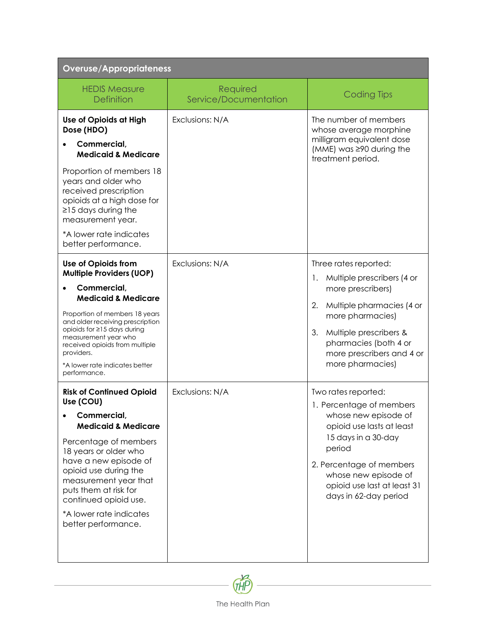| <b>Overuse/Appropriateness</b>                                                                                                                                                                                                                                                                                                                |                                   |                                                                                                                                                                                                                                                   |
|-----------------------------------------------------------------------------------------------------------------------------------------------------------------------------------------------------------------------------------------------------------------------------------------------------------------------------------------------|-----------------------------------|---------------------------------------------------------------------------------------------------------------------------------------------------------------------------------------------------------------------------------------------------|
| <b>HEDIS Measure</b><br><b>Definition</b>                                                                                                                                                                                                                                                                                                     | Required<br>Service/Documentation | <b>Coding Tips</b>                                                                                                                                                                                                                                |
| Use of Opioids at High<br>Dose (HDO)<br>Commercial,<br><b>Medicaid &amp; Medicare</b><br>Proportion of members 18                                                                                                                                                                                                                             | Exclusions: N/A                   | The number of members<br>whose average morphine<br>milligram equivalent dose<br>(MME) was ≥90 during the<br>treatment period.                                                                                                                     |
| years and older who<br>received prescription<br>opioids at a high dose for<br>$\geq$ 15 days during the<br>measurement year.<br>*A lower rate indicates<br>better performance.                                                                                                                                                                |                                   |                                                                                                                                                                                                                                                   |
| <b>Use of Opioids from</b><br><b>Multiple Providers (UOP)</b><br>Commercial,<br><b>Medicaid &amp; Medicare</b><br>Proportion of members 18 years<br>and older receiving prescription<br>opioids for ≥15 days during<br>measurement year who<br>received opioids from multiple<br>providers.<br>*A lower rate indicates better<br>performance. | Exclusions: N/A                   | Three rates reported:<br>Multiple prescribers (4 or<br>1.<br>more prescribers)<br>Multiple pharmacies (4 or<br>2.<br>more pharmacies)<br>3.<br>Multiple prescribers &<br>pharmacies (both 4 or<br>more prescribers and 4 or<br>more pharmacies)   |
| <b>Risk of Continued Opioid</b><br>Use (COU)<br>Commercial,<br><b>Medicaid &amp; Medicare</b><br>Percentage of members<br>18 years or older who<br>have a new episode of<br>opioid use during the<br>measurement year that<br>puts them at risk for<br>continued opioid use.<br>*A lower rate indicates<br>better performance.                | Exclusions: N/A                   | Two rates reported:<br>1. Percentage of members<br>whose new episode of<br>opioid use lasts at least<br>15 days in a 30-day<br>period<br>2. Percentage of members<br>whose new episode of<br>opioid use last at least 31<br>days in 62-day period |

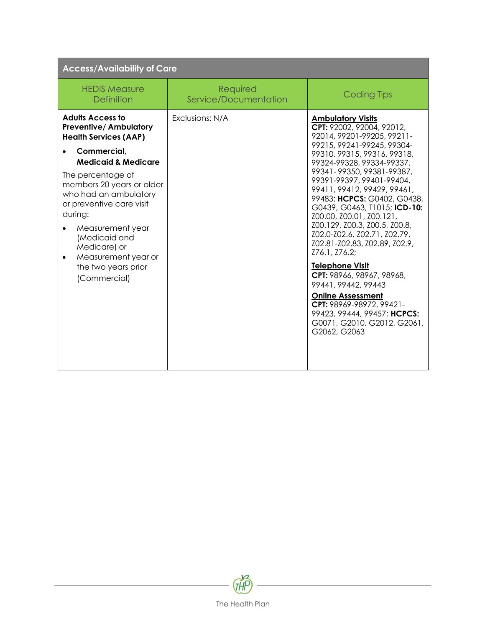| <b>Access/Availability of Care</b>                                                                                                                                                                                                                                                                                                                                                         |                                   |                                                                                                                                                                                                                                                                                                                                                                                                                                                                                                                                                                                                                                                                                                          |
|--------------------------------------------------------------------------------------------------------------------------------------------------------------------------------------------------------------------------------------------------------------------------------------------------------------------------------------------------------------------------------------------|-----------------------------------|----------------------------------------------------------------------------------------------------------------------------------------------------------------------------------------------------------------------------------------------------------------------------------------------------------------------------------------------------------------------------------------------------------------------------------------------------------------------------------------------------------------------------------------------------------------------------------------------------------------------------------------------------------------------------------------------------------|
| <b>HEDIS Measure</b><br><b>Definition</b>                                                                                                                                                                                                                                                                                                                                                  | Required<br>Service/Documentation | <b>Coding Tips</b>                                                                                                                                                                                                                                                                                                                                                                                                                                                                                                                                                                                                                                                                                       |
| <b>Adults Access to</b><br><b>Preventive/Ambulatory</b><br><b>Health Services (AAP)</b><br>Commercial,<br><b>Medicaid &amp; Medicare</b><br>The percentage of<br>members 20 years or older<br>who had an ambulatory<br>or preventive care visit<br>during:<br>Measurement year<br>(Medicaid and<br>Medicare) or<br>Measurement year or<br>$\bullet$<br>the two years prior<br>(Commercial) | Exclusions: N/A                   | <b>Ambulatory Visits</b><br>CPT: 92002, 92004, 92012,<br>92014, 99201-99205, 99211-<br>99215, 99241-99245, 99304-<br>99310, 99315, 99316, 99318,<br>99324-99328, 99334-99337,<br>99341-99350, 99381-99387,<br>99391-99397, 99401-99404,<br>99411, 99412, 99429, 99461,<br>99483; HCPCS: G0402, G0438,<br>G0439, G0463, T1015; ICD-10:<br>Z00.00, Z00.01, Z00.121,<br>Z00.129, Z00.3, Z00.5, Z00.8,<br>Z02.0-Z02.6, Z02.71, Z02.79,<br>Z02.81-Z02.83, Z02.89, Z02.9,<br>Z76.1, Z76.2;<br><b>Telephone Visit</b><br>CPT: 98966, 98967, 98968,<br>99441, 99442, 99443<br><b>Online Assessment</b><br>CPT: 98969-98972, 99421-<br>99423, 99444, 99457; HCPCS:<br>G0071, G2010, G2012, G2061,<br>G2062, G2063 |

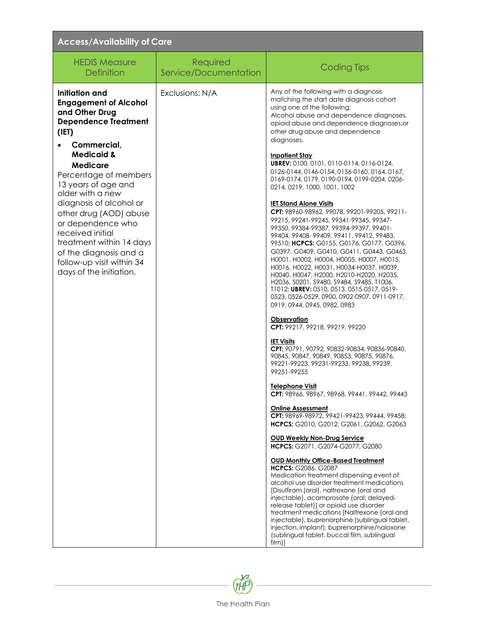| <b>Access/Availability of Care</b>                                                                                                                                                                                                                                                                                                                                                                                                                  |                                   |                                                                                                                                                                                                                                                                                                                                                                                                                                                                                                                                                                                                                                                                                                                                                                                                                                                                                                                                                                                                                                                                                                                                                                                                                                                                                                                                                                                                                                                                                                                                                                                                                                                                                                                        |
|-----------------------------------------------------------------------------------------------------------------------------------------------------------------------------------------------------------------------------------------------------------------------------------------------------------------------------------------------------------------------------------------------------------------------------------------------------|-----------------------------------|------------------------------------------------------------------------------------------------------------------------------------------------------------------------------------------------------------------------------------------------------------------------------------------------------------------------------------------------------------------------------------------------------------------------------------------------------------------------------------------------------------------------------------------------------------------------------------------------------------------------------------------------------------------------------------------------------------------------------------------------------------------------------------------------------------------------------------------------------------------------------------------------------------------------------------------------------------------------------------------------------------------------------------------------------------------------------------------------------------------------------------------------------------------------------------------------------------------------------------------------------------------------------------------------------------------------------------------------------------------------------------------------------------------------------------------------------------------------------------------------------------------------------------------------------------------------------------------------------------------------------------------------------------------------------------------------------------------------|
| <b>HEDIS Measure</b><br><b>Definition</b>                                                                                                                                                                                                                                                                                                                                                                                                           | Required<br>Service/Documentation | <b>Coding Tips</b>                                                                                                                                                                                                                                                                                                                                                                                                                                                                                                                                                                                                                                                                                                                                                                                                                                                                                                                                                                                                                                                                                                                                                                                                                                                                                                                                                                                                                                                                                                                                                                                                                                                                                                     |
| Initiation and<br><b>Engagement of Alcohol</b><br>and Other Drug<br><b>Dependence Treatment</b><br>(IET)<br>Commercial,<br><b>Medicaid &amp;</b><br><b>Medicare</b><br>Percentage of members<br>13 years of age and<br>older with a new<br>diagnosis of alcohol or<br>other drug (AOD) abuse<br>or dependence who<br>received initial<br>treatment within 14 days<br>of the diagnosis and a<br>follow-up visit within 34<br>days of the initiation. | Exclusions: N/A                   | Any of the following with a diagnosis<br>matching the start date diagnosis cohort<br>using one of the following:<br>Alcohol abuse and dependence diagnoses,<br>opioid abuse and dependence diagnoses, or<br>other drug abuse and dependence<br>diagnoses.<br><b>Inpatient Stay</b><br>UBREV: 0100, 0101, 0110-0114, 0116-0124,<br>0126-0144, 0146-0154, 0156-0160, 0164, 0167,<br>0169-0174, 0179, 0190-0194, 0199-0204, 0206-<br>0214, 0219, 1000, 1001, 1002<br><b>IET Stand Alone Visits</b><br>CPT: 98960-98962, 99078, 99201-99205, 99211-<br>99215, 99241-99245, 99341-99345, 99347-<br>99350, 99384-99387, 99394-99397, 99401-<br>99404, 99408-99409, 99411, 99412, 99483,<br>99510; HCPCS: G0155, G0176, G0177, G0396,<br>G0397, G0409, G0410, G0411, G0443, G0463,<br>НООО1, НООО2, НООО4, НООО5, НООО7, НОО15,<br>H0016, H0022, H0031, H0034-H0037, H0039,<br>H0040, H0047, H2000, H2010-H2020, H2035,<br>H2036, S0201, S9480, S9484, S9485, T1006,<br>T1012; UBREV: 0510, 0513, 0515-0517, 0519-<br>0523, 0526-0529, 0900, 0902-0907, 0911-0917,<br>0919, 0944, 0945, 0982, 0983<br>Observation<br>CPT: 99217, 99218, 99219, 99220<br><b>IET Visits</b><br>CPT: 90791, 90792, 90832-90834, 90836-90840,<br>90845, 90847, 90849, 90853, 90875, 90876,<br>99221-99223, 99231-99233, 99238, 99239,<br>99251-99255<br><b>Telephone Visit</b><br>CPT: 98966, 98967, 98968, 99441, 99442, 99443<br><b>Online Assessment</b><br>CPT: 98969-98972, 99421-99423, 99444, 99458;<br>HCPCS: G2010, G2012, G2061, G2062, G2063<br><b>OUD Weekly Non-Drug Service</b><br>HCPCS: G2071, G2074-G2077, G2080<br><b>OUD Monthly Office-Based Treatment</b><br>HCPCS: G2086, G2087<br>Medication treatment dispensing event of |
|                                                                                                                                                                                                                                                                                                                                                                                                                                                     |                                   | alcohol use disorder treatment medications<br>[Disulfiram (oral), naltrexone (oral and<br>injectable), acamprosate (oral; delayed-<br>release tablet)] or opioid use disorder<br>treatment medications [Naltrexone (oral and<br>injectable), buprenorphine (sublingual tablet,<br>injection, implant), buprenorphine/naloxone<br>(sublingual tablet, buccal film, sublingual<br>film)]                                                                                                                                                                                                                                                                                                                                                                                                                                                                                                                                                                                                                                                                                                                                                                                                                                                                                                                                                                                                                                                                                                                                                                                                                                                                                                                                 |

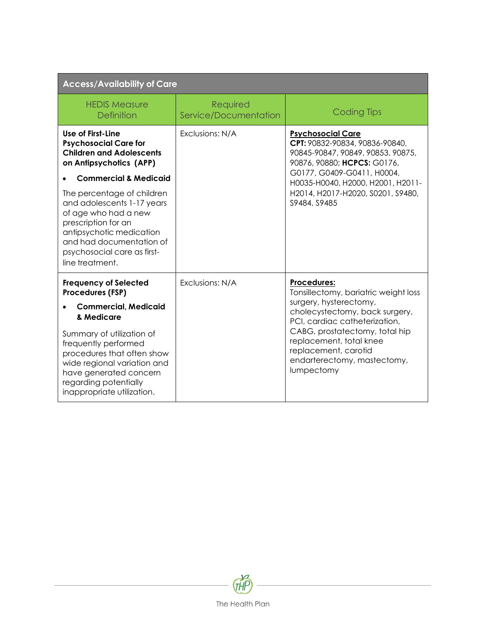| <b>Access/Availability of Care</b>                                                                                                                                                                                |                                   |                                                                                                                                |
|-------------------------------------------------------------------------------------------------------------------------------------------------------------------------------------------------------------------|-----------------------------------|--------------------------------------------------------------------------------------------------------------------------------|
| <b>HFDIS Measure</b><br><b>Definition</b>                                                                                                                                                                         | Required<br>Service/Documentation | <b>Coding Tips</b>                                                                                                             |
| Use of First-Line<br><b>Psychosocial Care for</b><br><b>Children and Adolescents</b><br>on Antipsychotics (APP)                                                                                                   | Exclusions: N/A                   | <b>Psychosocial Care</b><br>CPT: 90832-90834, 90836-90840,<br>90845-90847, 90849, 90853, 90875,<br>90876, 90880; HCPCS: G0176, |
| <b>Commercial &amp; Medicaid</b>                                                                                                                                                                                  |                                   | G0177, G0409-G0411, H0004,<br>H0035-H0040, H2000, H2001, H2011-<br>H2014, H2017-H2020, S0201, S9480,<br>S9484, S9485           |
| The percentage of children<br>and adolescents 1-17 years<br>of age who had a new<br>prescription for an<br>antipsychotic medication<br>and had documentation of<br>psychosocial care as first-<br>line treatment. |                                   |                                                                                                                                |
| <b>Frequency of Selected</b><br>Procedures (FSP)                                                                                                                                                                  | Exclusions: N/A                   | <b>Procedures:</b><br>Tonsillectomy, bariatric weight loss                                                                     |
| <b>Commercial, Medicaid</b>                                                                                                                                                                                       |                                   | surgery, hysterectomy,<br>cholecystectomy, back surgery,                                                                       |
| & Medicare                                                                                                                                                                                                        |                                   | PCI, cardiac catheterization,                                                                                                  |
| Summary of utilization of<br>frequently performed<br>procedures that often show<br>wide regional variation and<br>have generated concern<br>regarding potentially<br>inappropriate utilization.                   |                                   | CABG, prostatectomy, total hip<br>replacement, total knee<br>replacement, carotid<br>endarterectomy, mastectomy,<br>lumpectomy |

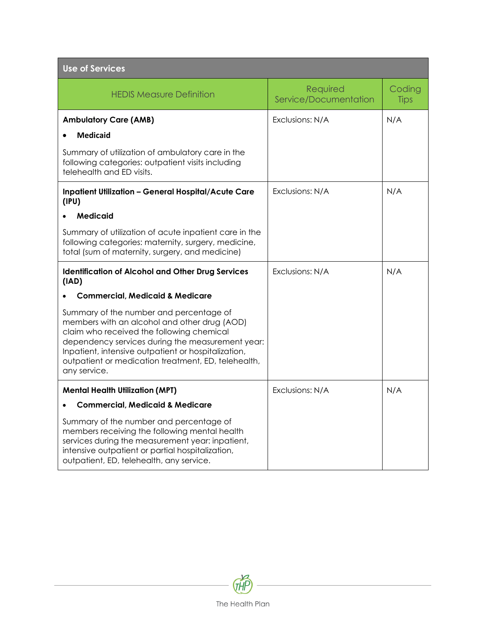| <b>Use of Services</b>                                                                                                                                                                                                                                                                                                 |                                   |                       |  |  |
|------------------------------------------------------------------------------------------------------------------------------------------------------------------------------------------------------------------------------------------------------------------------------------------------------------------------|-----------------------------------|-----------------------|--|--|
| <b>HEDIS Measure Definition</b>                                                                                                                                                                                                                                                                                        | Required<br>Service/Documentation | Coding<br><b>Tips</b> |  |  |
| <b>Ambulatory Care (AMB)</b>                                                                                                                                                                                                                                                                                           | Exclusions: N/A                   | N/A                   |  |  |
| <b>Medicaid</b>                                                                                                                                                                                                                                                                                                        |                                   |                       |  |  |
| Summary of utilization of ambulatory care in the<br>following categories: outpatient visits including<br>telehealth and ED visits.                                                                                                                                                                                     |                                   |                       |  |  |
| <b>Inpatient Utilization - General Hospital/Acute Care</b><br>(IPU)                                                                                                                                                                                                                                                    | Exclusions: N/A                   | N/A                   |  |  |
| <b>Medicaid</b>                                                                                                                                                                                                                                                                                                        |                                   |                       |  |  |
| Summary of utilization of acute inpatient care in the<br>following categories: maternity, surgery, medicine,<br>total (sum of maternity, surgery, and medicine)                                                                                                                                                        |                                   |                       |  |  |
| <b>Identification of Alcohol and Other Drug Services</b><br>(IAD)                                                                                                                                                                                                                                                      | Exclusions: N/A                   | N/A                   |  |  |
| Commercial, Medicaid & Medicare                                                                                                                                                                                                                                                                                        |                                   |                       |  |  |
| Summary of the number and percentage of<br>members with an alcohol and other drug (AOD)<br>claim who received the following chemical<br>dependency services during the measurement year:<br>Inpatient, intensive outpatient or hospitalization,<br>outpatient or medication treatment, ED, telehealth,<br>any service. |                                   |                       |  |  |
| <b>Mental Health Utilization (MPT)</b>                                                                                                                                                                                                                                                                                 | Exclusions: N/A                   | N/A                   |  |  |
| <b>Commercial, Medicaid &amp; Medicare</b>                                                                                                                                                                                                                                                                             |                                   |                       |  |  |
| Summary of the number and percentage of<br>members receiving the following mental health<br>services during the measurement year: inpatient,<br>intensive outpatient or partial hospitalization,<br>outpatient, ED, telehealth, any service.                                                                           |                                   |                       |  |  |

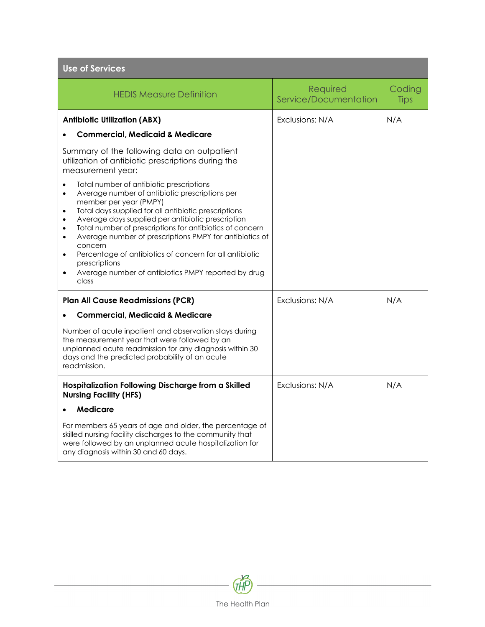| <b>Use of Services</b>                                                                                                                                                                                                                                                                                                                                                                                                                                                                                                                                                           |                                   |                       |  |  |
|----------------------------------------------------------------------------------------------------------------------------------------------------------------------------------------------------------------------------------------------------------------------------------------------------------------------------------------------------------------------------------------------------------------------------------------------------------------------------------------------------------------------------------------------------------------------------------|-----------------------------------|-----------------------|--|--|
| <b>HEDIS Measure Definition</b>                                                                                                                                                                                                                                                                                                                                                                                                                                                                                                                                                  | Required<br>Service/Documentation | Coding<br><b>Tips</b> |  |  |
| <b>Antibiotic Utilization (ABX)</b>                                                                                                                                                                                                                                                                                                                                                                                                                                                                                                                                              | Exclusions: N/A                   | N/A                   |  |  |
| <b>Commercial, Medicaid &amp; Medicare</b>                                                                                                                                                                                                                                                                                                                                                                                                                                                                                                                                       |                                   |                       |  |  |
| Summary of the following data on outpatient<br>utilization of antibiotic prescriptions during the<br>measurement year:                                                                                                                                                                                                                                                                                                                                                                                                                                                           |                                   |                       |  |  |
| Total number of antibiotic prescriptions<br>Average number of antibiotic prescriptions per<br>$\bullet$<br>member per year (PMPY)<br>Total days supplied for all antibiotic prescriptions<br>$\bullet$<br>Average days supplied per antibiotic prescription<br>Total number of prescriptions for antibiotics of concern<br>$\bullet$<br>Average number of prescriptions PMPY for antibiotics of<br>$\bullet$<br>concern<br>Percentage of antibiotics of concern for all antibiotic<br>$\bullet$<br>prescriptions<br>Average number of antibiotics PMPY reported by drug<br>class |                                   |                       |  |  |
| <b>Plan All Cause Readmissions (PCR)</b>                                                                                                                                                                                                                                                                                                                                                                                                                                                                                                                                         | Exclusions: N/A                   | N/A                   |  |  |
| <b>Commercial, Medicaid &amp; Medicare</b>                                                                                                                                                                                                                                                                                                                                                                                                                                                                                                                                       |                                   |                       |  |  |
| Number of acute inpatient and observation stays during<br>the measurement year that were followed by an<br>unplanned acute readmission for any diagnosis within 30<br>days and the predicted probability of an acute<br>readmission.                                                                                                                                                                                                                                                                                                                                             |                                   |                       |  |  |
| Hospitalization Following Discharge from a Skilled<br><b>Nursing Facility (HFS)</b>                                                                                                                                                                                                                                                                                                                                                                                                                                                                                              | Exclusions: N/A                   | N/A                   |  |  |
| Medicare                                                                                                                                                                                                                                                                                                                                                                                                                                                                                                                                                                         |                                   |                       |  |  |
| For members 65 years of age and older, the percentage of<br>skilled nursing facility discharges to the community that<br>were followed by an unplanned acute hospitalization for<br>any diagnosis within 30 and 60 days.                                                                                                                                                                                                                                                                                                                                                         |                                   |                       |  |  |

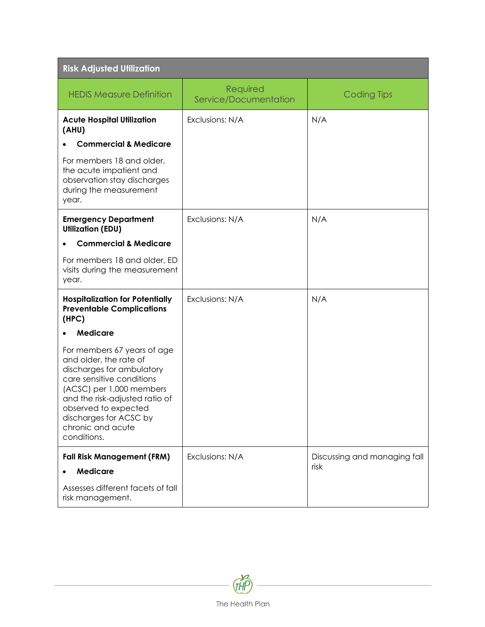| <b>Risk Adjusted Utilization</b>                                                                                                                                                                                                                                    |                                   |                              |  |  |  |
|---------------------------------------------------------------------------------------------------------------------------------------------------------------------------------------------------------------------------------------------------------------------|-----------------------------------|------------------------------|--|--|--|
| <b>HEDIS Measure Definition</b>                                                                                                                                                                                                                                     | Required<br>Service/Documentation | <b>Coding Tips</b>           |  |  |  |
| <b>Acute Hospital Utilization</b><br>(AHU)                                                                                                                                                                                                                          | Exclusions: N/A                   | N/A                          |  |  |  |
| <b>Commercial &amp; Medicare</b>                                                                                                                                                                                                                                    |                                   |                              |  |  |  |
| For members 18 and older,<br>the acute impatient and<br>observation stay discharges<br>during the measurement<br>year.                                                                                                                                              |                                   |                              |  |  |  |
| <b>Emergency Department</b><br><b>Utilization (EDU)</b>                                                                                                                                                                                                             | Exclusions: N/A                   | N/A                          |  |  |  |
| <b>Commercial &amp; Medicare</b>                                                                                                                                                                                                                                    |                                   |                              |  |  |  |
| For members 18 and older, ED<br>visits during the measurement<br>year.                                                                                                                                                                                              |                                   |                              |  |  |  |
| <b>Hospitalization for Potentially</b><br><b>Preventable Complications</b><br>(HPC)                                                                                                                                                                                 | Exclusions: N/A                   | N/A                          |  |  |  |
| <b>Medicare</b>                                                                                                                                                                                                                                                     |                                   |                              |  |  |  |
| For members 67 years of age<br>and older, the rate of<br>discharges for ambulatory<br>care sensitive conditions<br>(ACSC) per 1,000 members<br>and the risk-adjusted ratio of<br>observed to expected<br>discharges for ACSC by<br>chronic and acute<br>conditions. |                                   |                              |  |  |  |
| <b>Fall Risk Management (FRM)</b>                                                                                                                                                                                                                                   | Exclusions: N/A                   | Discussing and managing fall |  |  |  |
| <b>Medicare</b>                                                                                                                                                                                                                                                     |                                   | risk                         |  |  |  |
| Assesses different facets of fall<br>risk management.                                                                                                                                                                                                               |                                   |                              |  |  |  |